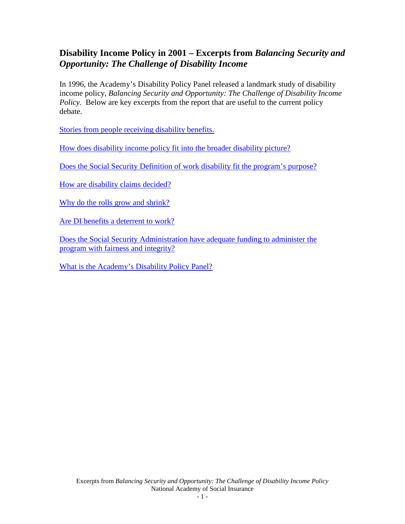# **Disability Income Policy in 2001 – Excerpts from** *Balancing Security and Opportunity: The Challenge of Disability Income*

In 1996, the Academy's Disability Policy Panel released a landmark study of disability income policy, *Balancing Security and Opportunity: The Challenge of Disability Income Policy.* Below are key excerpts from the report that are useful to the current policy debate.

[Stories from people receiving disability benefits.](#page-1-0) 

[How does disability income policy fit into the broader disability picture?](#page-19-0)

[Does the Social Security Definition of work disability fit the program's purpose?](#page-21-0)

[How are disability claims decided?](#page-31-0)

[Why do the rolls grow and shrink?](#page-34-0)

[Are DI benefits a deterrent to work?](#page-43-0)

[Does the Social Security Administration have adequate funding to administer the](#page-47-0)  [program with fairness and integrity?](#page-47-0)

[What is the Academy's Disability Policy Panel?](#page-49-0)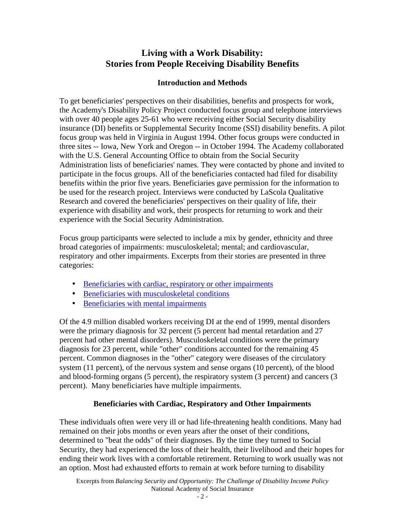# **Living with a Work Disability: Stories from People Receiving Disability Benefits**

# **Introduction and Methods**

<span id="page-1-0"></span>To get beneficiaries' perspectives on their disabilities, benefits and prospects for work, the Academy's Disability Policy Project conducted focus group and telephone interviews with over 40 people ages 25-61 who were receiving either Social Security disability insurance (DI) benefits or Supplemental Security Income (SSI) disability benefits. A pilot focus group was held in Virginia in August 1994. Other focus groups were conducted in three sites -- Iowa, New York and Oregon -- in October 1994. The Academy collaborated with the U.S. General Accounting Office to obtain from the Social Security Administration lists of beneficiaries' names. They were contacted by phone and invited to participate in the focus groups. All of the beneficiaries contacted had filed for disability benefits within the prior five years. Beneficiaries gave permission for the information to be used for the research project. Interviews were conducted by LaScola Qualitative Research and covered the beneficiaries' perspectives on their quality of life, their experience with disability and work, their prospects for returning to work and their experience with the Social Security Administration.

Focus group participants were selected to include a mix by gender, ethnicity and three broad categories of impairments: musculoskeletal; mental; and cardiovascular, respiratory and other impairments. Excerpts from their stories are presented in three categories:

- Beneficiaries with cardiac, respiratory or other impairments
- Beneficiaries with musculoskeletal conditions
- [Beneficiaries with mental impairments](#page-15-0)

Of the 4.9 million disabled workers receiving DI at the end of 1999, mental disorders were the primary diagnosis for 32 percent (5 percent had mental retardation and 27 percent had other mental disorders). Musculoskeletal conditions were the primary diagnosis for 23 percent, while "other" conditions accounted for the remaining 45 percent. Common diagnoses in the "other" category were diseases of the circulatory system (11 percent), of the nervous system and sense organs (10 percent), of the blood and blood-forming organs (5 percent), the respiratory system (3 percent) and cancers (3 percent). Many beneficiaries have multiple impairments.

# **Beneficiaries with Cardiac, Respiratory and Other Impairments**

These individuals often were very ill or had life-threatening health conditions. Many had remained on their jobs months or even years after the onset of their conditions, determined to "beat the odds" of their diagnoses. By the time they turned to Social Security, they had experienced the loss of their health, their livelihood and their hopes for ending their work lives with a comfortable retirement. Returning to work usually was not an option. Most had exhausted efforts to remain at work before turning to disability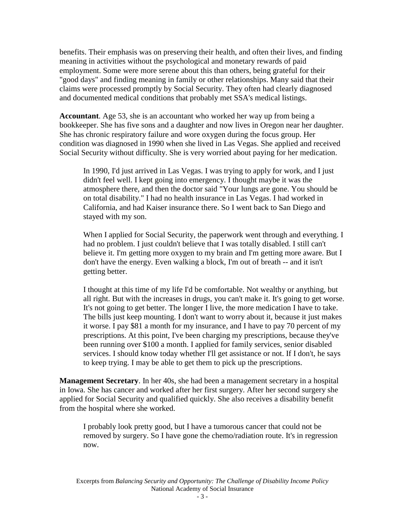benefits. Their emphasis was on preserving their health, and often their lives, and finding meaning in activities without the psychological and monetary rewards of paid employment. Some were more serene about this than others, being grateful for their "good days" and finding meaning in family or other relationships. Many said that their claims were processed promptly by Social Security. They often had clearly diagnosed and documented medical conditions that probably met SSA's medical listings.

**Accountant**. Age 53, she is an accountant who worked her way up from being a bookkeeper. She has five sons and a daughter and now lives in Oregon near her daughter. She has chronic respiratory failure and wore oxygen during the focus group. Her condition was diagnosed in 1990 when she lived in Las Vegas. She applied and received Social Security without difficulty. She is very worried about paying for her medication.

In 1990, I'd just arrived in Las Vegas. I was trying to apply for work, and I just didn't feel well. I kept going into emergency. I thought maybe it was the atmosphere there, and then the doctor said "Your lungs are gone. You should be on total disability." I had no health insurance in Las Vegas. I had worked in California, and had Kaiser insurance there. So I went back to San Diego and stayed with my son.

When I applied for Social Security, the paperwork went through and everything. I had no problem. I just couldn't believe that I was totally disabled. I still can't believe it. I'm getting more oxygen to my brain and I'm getting more aware. But I don't have the energy. Even walking a block, I'm out of breath -- and it isn't getting better.

I thought at this time of my life I'd be comfortable. Not wealthy or anything, but all right. But with the increases in drugs, you can't make it. It's going to get worse. It's not going to get better. The longer I live, the more medication I have to take. The bills just keep mounting. I don't want to worry about it, because it just makes it worse. I pay \$81 a month for my insurance, and I have to pay 70 percent of my prescriptions. At this point, I've been charging my prescriptions, because they've been running over \$100 a month. I applied for family services, senior disabled services. I should know today whether I'll get assistance or not. If I don't, he says to keep trying. I may be able to get them to pick up the prescriptions.

**Management Secretary**. In her 40s, she had been a management secretary in a hospital in Iowa. She has cancer and worked after her first surgery. After her second surgery she applied for Social Security and qualified quickly. She also receives a disability benefit from the hospital where she worked.

I probably look pretty good, but I have a tumorous cancer that could not be removed by surgery. So I have gone the chemo/radiation route. It's in regression now.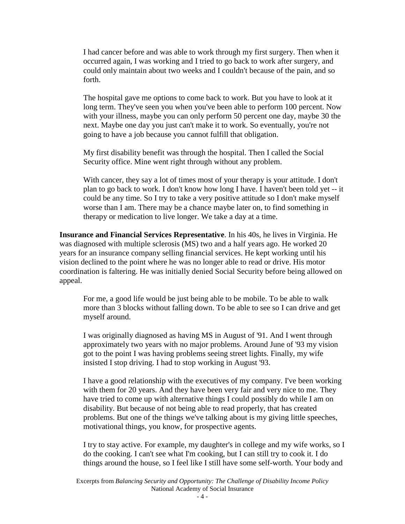I had cancer before and was able to work through my first surgery. Then when it occurred again, I was working and I tried to go back to work after surgery, and could only maintain about two weeks and I couldn't because of the pain, and so forth.

The hospital gave me options to come back to work. But you have to look at it long term. They've seen you when you've been able to perform 100 percent. Now with your illness, maybe you can only perform 50 percent one day, maybe 30 the next. Maybe one day you just can't make it to work. So eventually, you're not going to have a job because you cannot fulfill that obligation.

My first disability benefit was through the hospital. Then I called the Social Security office. Mine went right through without any problem.

With cancer, they say a lot of times most of your therapy is your attitude. I don't plan to go back to work. I don't know how long I have. I haven't been told yet -- it could be any time. So I try to take a very positive attitude so I don't make myself worse than I am. There may be a chance maybe later on, to find something in therapy or medication to live longer. We take a day at a time.

**Insurance and Financial Services Representative**. In his 40s, he lives in Virginia. He was diagnosed with multiple sclerosis (MS) two and a half years ago. He worked 20 years for an insurance company selling financial services. He kept working until his vision declined to the point where he was no longer able to read or drive. His motor coordination is faltering. He was initially denied Social Security before being allowed on appeal.

For me, a good life would be just being able to be mobile. To be able to walk more than 3 blocks without falling down. To be able to see so I can drive and get myself around.

I was originally diagnosed as having MS in August of '91. And I went through approximately two years with no major problems. Around June of '93 my vision got to the point I was having problems seeing street lights. Finally, my wife insisted I stop driving. I had to stop working in August '93.

I have a good relationship with the executives of my company. I've been working with them for 20 years. And they have been very fair and very nice to me. They have tried to come up with alternative things I could possibly do while I am on disability. But because of not being able to read properly, that has created problems. But one of the things we've talking about is my giving little speeches, motivational things, you know, for prospective agents.

I try to stay active. For example, my daughter's in college and my wife works, so I do the cooking. I can't see what I'm cooking, but I can still try to cook it. I do things around the house, so I feel like I still have some self-worth. Your body and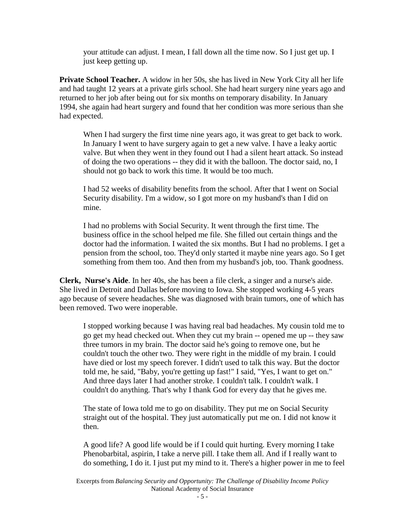your attitude can adjust. I mean, I fall down all the time now. So I just get up. I just keep getting up.

**Private School Teacher.** A widow in her 50s, she has lived in New York City all her life and had taught 12 years at a private girls school. She had heart surgery nine years ago and returned to her job after being out for six months on temporary disability. In January 1994, she again had heart surgery and found that her condition was more serious than she had expected.

When I had surgery the first time nine years ago, it was great to get back to work. In January I went to have surgery again to get a new valve. I have a leaky aortic valve. But when they went in they found out I had a silent heart attack. So instead of doing the two operations -- they did it with the balloon. The doctor said, no, I should not go back to work this time. It would be too much.

I had 52 weeks of disability benefits from the school. After that I went on Social Security disability. I'm a widow, so I got more on my husband's than I did on mine.

I had no problems with Social Security. It went through the first time. The business office in the school helped me file. She filled out certain things and the doctor had the information. I waited the six months. But I had no problems. I get a pension from the school, too. They'd only started it maybe nine years ago. So I get something from them too. And then from my husband's job, too. Thank goodness.

**Clerk, Nurse's Aide**. In her 40s, she has been a file clerk, a singer and a nurse's aide. She lived in Detroit and Dallas before moving to Iowa. She stopped working 4-5 years ago because of severe headaches. She was diagnosed with brain tumors, one of which has been removed. Two were inoperable.

I stopped working because I was having real bad headaches. My cousin told me to go get my head checked out. When they cut my brain -- opened me up -- they saw three tumors in my brain. The doctor said he's going to remove one, but he couldn't touch the other two. They were right in the middle of my brain. I could have died or lost my speech forever. I didn't used to talk this way. But the doctor told me, he said, "Baby, you're getting up fast!" I said, "Yes, I want to get on." And three days later I had another stroke. I couldn't talk. I couldn't walk. I couldn't do anything. That's why I thank God for every day that he gives me.

The state of Iowa told me to go on disability. They put me on Social Security straight out of the hospital. They just automatically put me on. I did not know it then.

A good life? A good life would be if I could quit hurting. Every morning I take Phenobarbital, aspirin, I take a nerve pill. I take them all. And if I really want to do something, I do it. I just put my mind to it. There's a higher power in me to feel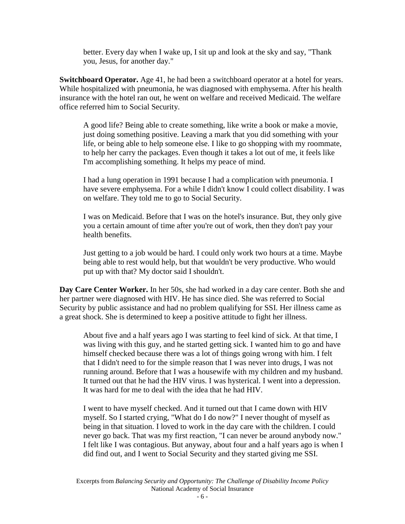better. Every day when I wake up, I sit up and look at the sky and say, "Thank you, Jesus, for another day."

**Switchboard Operator.** Age 41, he had been a switchboard operator at a hotel for years. While hospitalized with pneumonia, he was diagnosed with emphysema. After his health insurance with the hotel ran out, he went on welfare and received Medicaid. The welfare office referred him to Social Security.

A good life? Being able to create something, like write a book or make a movie, just doing something positive. Leaving a mark that you did something with your life, or being able to help someone else. I like to go shopping with my roommate, to help her carry the packages. Even though it takes a lot out of me, it feels like I'm accomplishing something. It helps my peace of mind.

I had a lung operation in 1991 because I had a complication with pneumonia. I have severe emphysema. For a while I didn't know I could collect disability. I was on welfare. They told me to go to Social Security.

I was on Medicaid. Before that I was on the hotel's insurance. But, they only give you a certain amount of time after you're out of work, then they don't pay your health benefits.

Just getting to a job would be hard. I could only work two hours at a time. Maybe being able to rest would help, but that wouldn't be very productive. Who would put up with that? My doctor said I shouldn't.

**Day Care Center Worker.** In her 50s, she had worked in a day care center. Both she and her partner were diagnosed with HIV. He has since died. She was referred to Social Security by public assistance and had no problem qualifying for SSI. Her illness came as a great shock. She is determined to keep a positive attitude to fight her illness.

About five and a half years ago I was starting to feel kind of sick. At that time, I was living with this guy, and he started getting sick. I wanted him to go and have himself checked because there was a lot of things going wrong with him. I felt that I didn't need to for the simple reason that I was never into drugs, I was not running around. Before that I was a housewife with my children and my husband. It turned out that he had the HIV virus. I was hysterical. I went into a depression. It was hard for me to deal with the idea that he had HIV.

I went to have myself checked. And it turned out that I came down with HIV myself. So I started crying, "What do I do now?" I never thought of myself as being in that situation. I loved to work in the day care with the children. I could never go back. That was my first reaction, "I can never be around anybody now." I felt like I was contagious. But anyway, about four and a half years ago is when I did find out, and I went to Social Security and they started giving me SSI.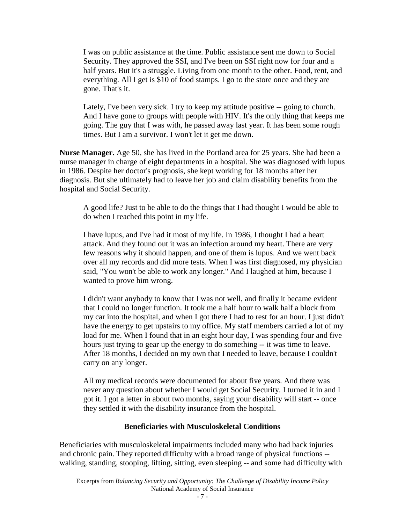<span id="page-6-0"></span>I was on public assistance at the time. Public assistance sent me down to Social Security. They approved the SSI, and I've been on SSI right now for four and a half years. But it's a struggle. Living from one month to the other. Food, rent, and everything. All I get is \$10 of food stamps. I go to the store once and they are gone. That's it.

Lately, I've been very sick. I try to keep my attitude positive -- going to church. And I have gone to groups with people with HIV. It's the only thing that keeps me going. The guy that I was with, he passed away last year. It has been some rough times. But I am a survivor. I won't let it get me down.

**Nurse Manager.** Age 50, she has lived in the Portland area for 25 years. She had been a nurse manager in charge of eight departments in a hospital. She was diagnosed with lupus in 1986. Despite her doctor's prognosis, she kept working for 18 months after her diagnosis. But she ultimately had to leave her job and claim disability benefits from the hospital and Social Security.

A good life? Just to be able to do the things that I had thought I would be able to do when I reached this point in my life.

I have lupus, and I've had it most of my life. In 1986, I thought I had a heart attack. And they found out it was an infection around my heart. There are very few reasons why it should happen, and one of them is lupus. And we went back over all my records and did more tests. When I was first diagnosed, my physician said, "You won't be able to work any longer." And I laughed at him, because I wanted to prove him wrong.

I didn't want anybody to know that I was not well, and finally it became evident that I could no longer function. It took me a half hour to walk half a block from my car into the hospital, and when I got there I had to rest for an hour. I just didn't have the energy to get upstairs to my office. My staff members carried a lot of my load for me. When I found that in an eight hour day, I was spending four and five hours just trying to gear up the energy to do something -- it was time to leave. After 18 months, I decided on my own that I needed to leave, because I couldn't carry on any longer.

All my medical records were documented for about five years. And there was never any question about whether I would get Social Security. I turned it in and I got it. I got a letter in about two months, saying your disability will start -- once they settled it with the disability insurance from the hospital.

#### **Beneficiaries with Musculoskeletal Conditions**

Beneficiaries with musculoskeletal impairments included many who had back injuries and chronic pain. They reported difficulty with a broad range of physical functions - walking, standing, stooping, lifting, sitting, even sleeping -- and some had difficulty with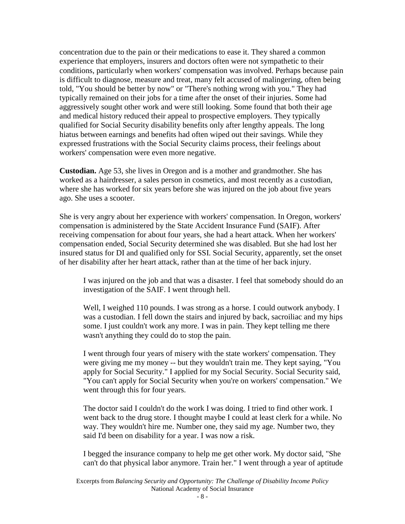concentration due to the pain or their medications to ease it. They shared a common experience that employers, insurers and doctors often were not sympathetic to their conditions, particularly when workers' compensation was involved. Perhaps because pain is difficult to diagnose, measure and treat, many felt accused of malingering, often being told, "You should be better by now" or "There's nothing wrong with you." They had typically remained on their jobs for a time after the onset of their injuries. Some had aggressively sought other work and were still looking. Some found that both their age and medical history reduced their appeal to prospective employers. They typically qualified for Social Security disability benefits only after lengthy appeals. The long hiatus between earnings and benefits had often wiped out their savings. While they expressed frustrations with the Social Security claims process, their feelings about workers' compensation were even more negative.

**Custodian.** Age 53, she lives in Oregon and is a mother and grandmother. She has worked as a hairdresser, a sales person in cosmetics, and most recently as a custodian, where she has worked for six years before she was injured on the job about five years ago. She uses a scooter.

She is very angry about her experience with workers' compensation. In Oregon, workers' compensation is administered by the State Accident Insurance Fund (SAIF). After receiving compensation for about four years, she had a heart attack. When her workers' compensation ended, Social Security determined she was disabled. But she had lost her insured status for DI and qualified only for SSI. Social Security, apparently, set the onset of her disability after her heart attack, rather than at the time of her back injury.

I was injured on the job and that was a disaster. I feel that somebody should do an investigation of the SAIF. I went through hell.

Well, I weighed 110 pounds. I was strong as a horse. I could outwork anybody. I was a custodian. I fell down the stairs and injured by back, sacroiliac and my hips some. I just couldn't work any more. I was in pain. They kept telling me there wasn't anything they could do to stop the pain.

I went through four years of misery with the state workers' compensation. They were giving me my money -- but they wouldn't train me. They kept saying, "You apply for Social Security." I applied for my Social Security. Social Security said, "You can't apply for Social Security when you're on workers' compensation." We went through this for four years.

The doctor said I couldn't do the work I was doing. I tried to find other work. I went back to the drug store. I thought maybe I could at least clerk for a while. No way. They wouldn't hire me. Number one, they said my age. Number two, they said I'd been on disability for a year. I was now a risk.

I begged the insurance company to help me get other work. My doctor said, "She can't do that physical labor anymore. Train her." I went through a year of aptitude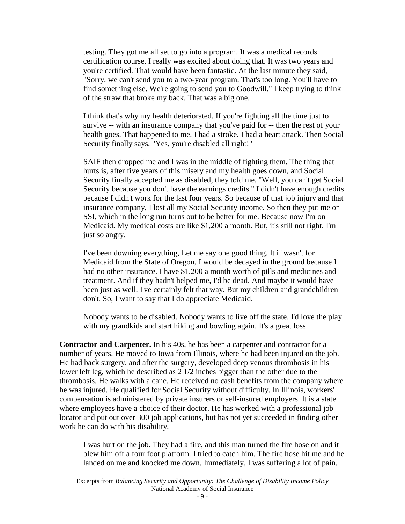testing. They got me all set to go into a program. It was a medical records certification course. I really was excited about doing that. It was two years and you're certified. That would have been fantastic. At the last minute they said, "Sorry, we can't send you to a two-year program. That's too long. You'll have to find something else. We're going to send you to Goodwill." I keep trying to think of the straw that broke my back. That was a big one.

I think that's why my health deteriorated. If you're fighting all the time just to survive -- with an insurance company that you've paid for -- then the rest of your health goes. That happened to me. I had a stroke. I had a heart attack. Then Social Security finally says, "Yes, you're disabled all right!"

SAIF then dropped me and I was in the middle of fighting them. The thing that hurts is, after five years of this misery and my health goes down, and Social Security finally accepted me as disabled, they told me, "Well, you can't get Social Security because you don't have the earnings credits." I didn't have enough credits because I didn't work for the last four years. So because of that job injury and that insurance company, I lost all my Social Security income. So then they put me on SSI, which in the long run turns out to be better for me. Because now I'm on Medicaid. My medical costs are like \$1,200 a month. But, it's still not right. I'm just so angry.

I've been downing everything, Let me say one good thing. It if wasn't for Medicaid from the State of Oregon, I would be decayed in the ground because I had no other insurance. I have \$1,200 a month worth of pills and medicines and treatment. And if they hadn't helped me, I'd be dead. And maybe it would have been just as well. I've certainly felt that way. But my children and grandchildren don't. So, I want to say that I do appreciate Medicaid.

Nobody wants to be disabled. Nobody wants to live off the state. I'd love the play with my grandkids and start hiking and bowling again. It's a great loss.

**Contractor and Carpenter.** In his 40s, he has been a carpenter and contractor for a number of years. He moved to Iowa from Illinois, where he had been injured on the job. He had back surgery, and after the surgery, developed deep venous thrombosis in his lower left leg, which he described as 2 1/2 inches bigger than the other due to the thrombosis. He walks with a cane. He received no cash benefits from the company where he was injured. He qualified for Social Security without difficulty. In Illinois, workers' compensation is administered by private insurers or self-insured employers. It is a state where employees have a choice of their doctor. He has worked with a professional job locator and put out over 300 job applications, but has not yet succeeded in finding other work he can do with his disability.

I was hurt on the job. They had a fire, and this man turned the fire hose on and it blew him off a four foot platform. I tried to catch him. The fire hose hit me and he landed on me and knocked me down. Immediately, I was suffering a lot of pain.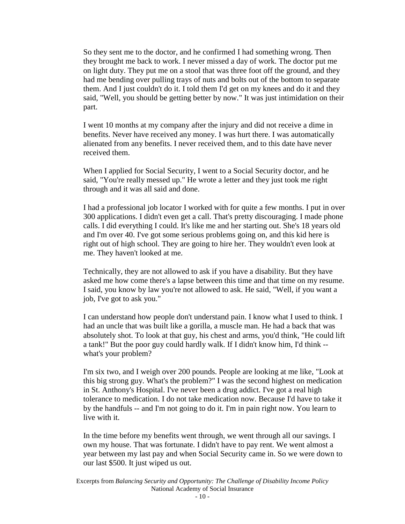So they sent me to the doctor, and he confirmed I had something wrong. Then they brought me back to work. I never missed a day of work. The doctor put me on light duty. They put me on a stool that was three foot off the ground, and they had me bending over pulling trays of nuts and bolts out of the bottom to separate them. And I just couldn't do it. I told them I'd get on my knees and do it and they said, "Well, you should be getting better by now." It was just intimidation on their part.

I went 10 months at my company after the injury and did not receive a dime in benefits. Never have received any money. I was hurt there. I was automatically alienated from any benefits. I never received them, and to this date have never received them.

When I applied for Social Security, I went to a Social Security doctor, and he said, "You're really messed up." He wrote a letter and they just took me right through and it was all said and done.

I had a professional job locator I worked with for quite a few months. I put in over 300 applications. I didn't even get a call. That's pretty discouraging. I made phone calls. I did everything I could. It's like me and her starting out. She's 18 years old and I'm over 40. I've got some serious problems going on, and this kid here is right out of high school. They are going to hire her. They wouldn't even look at me. They haven't looked at me.

Technically, they are not allowed to ask if you have a disability. But they have asked me how come there's a lapse between this time and that time on my resume. I said, you know by law you're not allowed to ask. He said, "Well, if you want a job, I've got to ask you."

I can understand how people don't understand pain. I know what I used to think. I had an uncle that was built like a gorilla, a muscle man. He had a back that was absolutely shot. To look at that guy, his chest and arms, you'd think, "He could lift a tank!" But the poor guy could hardly walk. If I didn't know him, I'd think - what's your problem?

I'm six two, and I weigh over 200 pounds. People are looking at me like, "Look at this big strong guy. What's the problem?" I was the second highest on medication in St. Anthony's Hospital. I've never been a drug addict. I've got a real high tolerance to medication. I do not take medication now. Because I'd have to take it by the handfuls -- and I'm not going to do it. I'm in pain right now. You learn to live with it.

In the time before my benefits went through, we went through all our savings. I own my house. That was fortunate. I didn't have to pay rent. We went almost a year between my last pay and when Social Security came in. So we were down to our last \$500. It just wiped us out.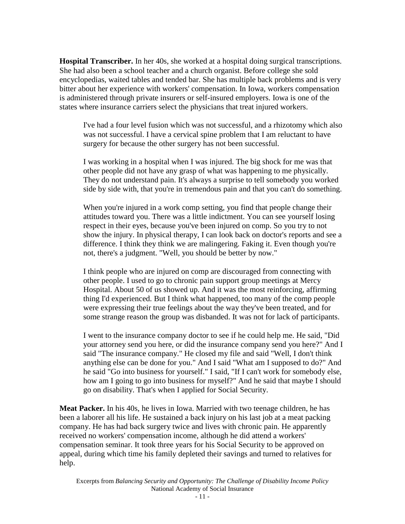**Hospital Transcriber.** In her 40s, she worked at a hospital doing surgical transcriptions. She had also been a school teacher and a church organist. Before college she sold encyclopedias, waited tables and tended bar. She has multiple back problems and is very bitter about her experience with workers' compensation. In Iowa, workers compensation is administered through private insurers or self-insured employers. Iowa is one of the states where insurance carriers select the physicians that treat injured workers.

I've had a four level fusion which was not successful, and a rhizotomy which also was not successful. I have a cervical spine problem that I am reluctant to have surgery for because the other surgery has not been successful.

I was working in a hospital when I was injured. The big shock for me was that other people did not have any grasp of what was happening to me physically. They do not understand pain. It's always a surprise to tell somebody you worked side by side with, that you're in tremendous pain and that you can't do something.

When you're injured in a work comp setting, you find that people change their attitudes toward you. There was a little indictment. You can see yourself losing respect in their eyes, because you've been injured on comp. So you try to not show the injury. In physical therapy, I can look back on doctor's reports and see a difference. I think they think we are malingering. Faking it. Even though you're not, there's a judgment. "Well, you should be better by now."

I think people who are injured on comp are discouraged from connecting with other people. I used to go to chronic pain support group meetings at Mercy Hospital. About 50 of us showed up. And it was the most reinforcing, affirming thing I'd experienced. But I think what happened, too many of the comp people were expressing their true feelings about the way they've been treated, and for some strange reason the group was disbanded. It was not for lack of participants.

I went to the insurance company doctor to see if he could help me. He said, "Did your attorney send you here, or did the insurance company send you here?" And I said "The insurance company." He closed my file and said "Well, I don't think anything else can be done for you." And I said "What am I supposed to do?" And he said "Go into business for yourself." I said, "If I can't work for somebody else, how am I going to go into business for myself?" And he said that maybe I should go on disability. That's when I applied for Social Security.

**Meat Packer.** In his 40s, he lives in Iowa. Married with two teenage children, he has been a laborer all his life. He sustained a back injury on his last job at a meat packing company. He has had back surgery twice and lives with chronic pain. He apparently received no workers' compensation income, although he did attend a workers' compensation seminar. It took three years for his Social Security to be approved on appeal, during which time his family depleted their savings and turned to relatives for help.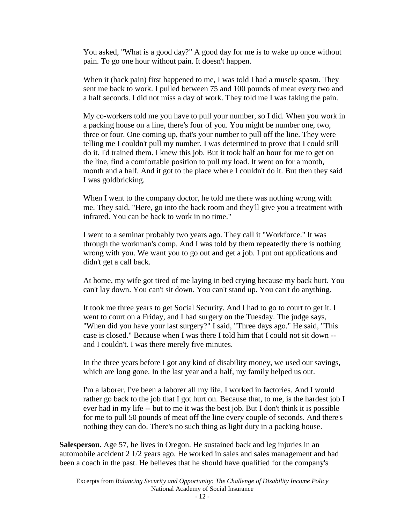You asked, "What is a good day?" A good day for me is to wake up once without pain. To go one hour without pain. It doesn't happen.

When it (back pain) first happened to me, I was told I had a muscle spasm. They sent me back to work. I pulled between 75 and 100 pounds of meat every two and a half seconds. I did not miss a day of work. They told me I was faking the pain.

My co-workers told me you have to pull your number, so I did. When you work in a packing house on a line, there's four of you. You might be number one, two, three or four. One coming up, that's your number to pull off the line. They were telling me I couldn't pull my number. I was determined to prove that I could still do it. I'd trained them. I knew this job. But it took half an hour for me to get on the line, find a comfortable position to pull my load. It went on for a month, month and a half. And it got to the place where I couldn't do it. But then they said I was goldbricking.

When I went to the company doctor, he told me there was nothing wrong with me. They said, "Here, go into the back room and they'll give you a treatment with infrared. You can be back to work in no time."

I went to a seminar probably two years ago. They call it "Workforce." It was through the workman's comp. And I was told by them repeatedly there is nothing wrong with you. We want you to go out and get a job. I put out applications and didn't get a call back.

At home, my wife got tired of me laying in bed crying because my back hurt. You can't lay down. You can't sit down. You can't stand up. You can't do anything.

It took me three years to get Social Security. And I had to go to court to get it. I went to court on a Friday, and I had surgery on the Tuesday. The judge says, "When did you have your last surgery?" I said, "Three days ago." He said, "This case is closed." Because when I was there I told him that I could not sit down - and I couldn't. I was there merely five minutes.

In the three years before I got any kind of disability money, we used our savings, which are long gone. In the last year and a half, my family helped us out.

I'm a laborer. I've been a laborer all my life. I worked in factories. And I would rather go back to the job that I got hurt on. Because that, to me, is the hardest job I ever had in my life -- but to me it was the best job. But I don't think it is possible for me to pull 50 pounds of meat off the line every couple of seconds. And there's nothing they can do. There's no such thing as light duty in a packing house.

**Salesperson.** Age 57, he lives in Oregon. He sustained back and leg injuries in an automobile accident 2 1/2 years ago. He worked in sales and sales management and had been a coach in the past. He believes that he should have qualified for the company's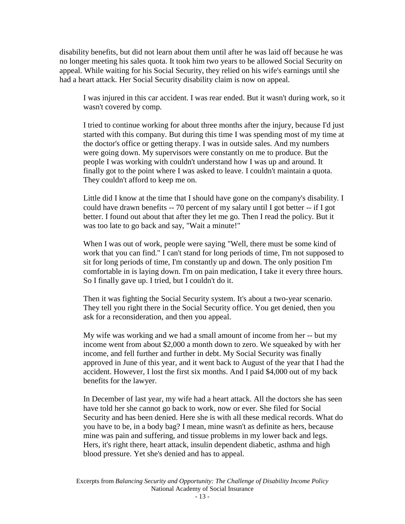disability benefits, but did not learn about them until after he was laid off because he was no longer meeting his sales quota. It took him two years to be allowed Social Security on appeal. While waiting for his Social Security, they relied on his wife's earnings until she had a heart attack. Her Social Security disability claim is now on appeal.

I was injured in this car accident. I was rear ended. But it wasn't during work, so it wasn't covered by comp.

I tried to continue working for about three months after the injury, because I'd just started with this company. But during this time I was spending most of my time at the doctor's office or getting therapy. I was in outside sales. And my numbers were going down. My supervisors were constantly on me to produce. But the people I was working with couldn't understand how I was up and around. It finally got to the point where I was asked to leave. I couldn't maintain a quota. They couldn't afford to keep me on.

Little did I know at the time that I should have gone on the company's disability. I could have drawn benefits -- 70 percent of my salary until I got better -- if I got better. I found out about that after they let me go. Then I read the policy. But it was too late to go back and say, "Wait a minute!"

When I was out of work, people were saying "Well, there must be some kind of work that you can find." I can't stand for long periods of time, I'm not supposed to sit for long periods of time, I'm constantly up and down. The only position I'm comfortable in is laying down. I'm on pain medication, I take it every three hours. So I finally gave up. I tried, but I couldn't do it.

Then it was fighting the Social Security system. It's about a two-year scenario. They tell you right there in the Social Security office. You get denied, then you ask for a reconsideration, and then you appeal.

My wife was working and we had a small amount of income from her -- but my income went from about \$2,000 a month down to zero. We squeaked by with her income, and fell further and further in debt. My Social Security was finally approved in June of this year, and it went back to August of the year that I had the accident. However, I lost the first six months. And I paid \$4,000 out of my back benefits for the lawyer.

In December of last year, my wife had a heart attack. All the doctors she has seen have told her she cannot go back to work, now or ever. She filed for Social Security and has been denied. Here she is with all these medical records. What do you have to be, in a body bag? I mean, mine wasn't as definite as hers, because mine was pain and suffering, and tissue problems in my lower back and legs. Hers, it's right there, heart attack, insulin dependent diabetic, asthma and high blood pressure. Yet she's denied and has to appeal.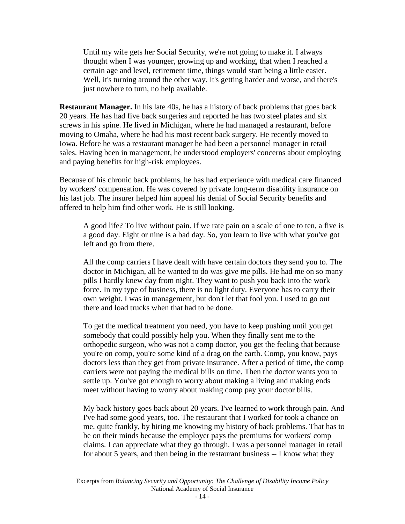Until my wife gets her Social Security, we're not going to make it. I always thought when I was younger, growing up and working, that when I reached a certain age and level, retirement time, things would start being a little easier. Well, it's turning around the other way. It's getting harder and worse, and there's just nowhere to turn, no help available.

**Restaurant Manager.** In his late 40s, he has a history of back problems that goes back 20 years. He has had five back surgeries and reported he has two steel plates and six screws in his spine. He lived in Michigan, where he had managed a restaurant, before moving to Omaha, where he had his most recent back surgery. He recently moved to Iowa. Before he was a restaurant manager he had been a personnel manager in retail sales. Having been in management, he understood employers' concerns about employing and paying benefits for high-risk employees.

Because of his chronic back problems, he has had experience with medical care financed by workers' compensation. He was covered by private long-term disability insurance on his last job. The insurer helped him appeal his denial of Social Security benefits and offered to help him find other work. He is still looking.

A good life? To live without pain. If we rate pain on a scale of one to ten, a five is a good day. Eight or nine is a bad day. So, you learn to live with what you've got left and go from there.

All the comp carriers I have dealt with have certain doctors they send you to. The doctor in Michigan, all he wanted to do was give me pills. He had me on so many pills I hardly knew day from night. They want to push you back into the work force. In my type of business, there is no light duty. Everyone has to carry their own weight. I was in management, but don't let that fool you. I used to go out there and load trucks when that had to be done.

To get the medical treatment you need, you have to keep pushing until you get somebody that could possibly help you. When they finally sent me to the orthopedic surgeon, who was not a comp doctor, you get the feeling that because you're on comp, you're some kind of a drag on the earth. Comp, you know, pays doctors less than they get from private insurance. After a period of time, the comp carriers were not paying the medical bills on time. Then the doctor wants you to settle up. You've got enough to worry about making a living and making ends meet without having to worry about making comp pay your doctor bills.

My back history goes back about 20 years. I've learned to work through pain. And I've had some good years, too. The restaurant that I worked for took a chance on me, quite frankly, by hiring me knowing my history of back problems. That has to be on their minds because the employer pays the premiums for workers' comp claims. I can appreciate what they go through. I was a personnel manager in retail for about 5 years, and then being in the restaurant business -- I know what they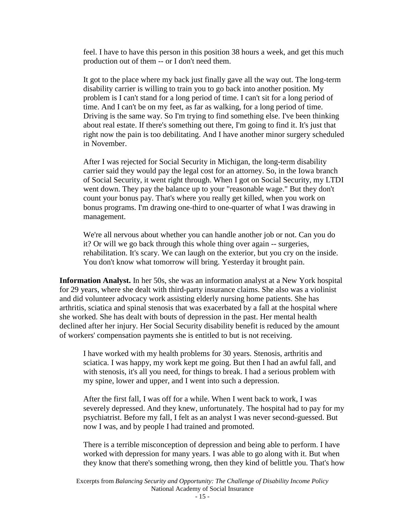feel. I have to have this person in this position 38 hours a week, and get this much production out of them -- or I don't need them.

It got to the place where my back just finally gave all the way out. The long-term disability carrier is willing to train you to go back into another position. My problem is I can't stand for a long period of time. I can't sit for a long period of time. And I can't be on my feet, as far as walking, for a long period of time. Driving is the same way. So I'm trying to find something else. I've been thinking about real estate. If there's something out there, I'm going to find it. It's just that right now the pain is too debilitating. And I have another minor surgery scheduled in November.

After I was rejected for Social Security in Michigan, the long-term disability carrier said they would pay the legal cost for an attorney. So, in the Iowa branch of Social Security, it went right through. When I got on Social Security, my LTDI went down. They pay the balance up to your "reasonable wage." But they don't count your bonus pay. That's where you really get killed, when you work on bonus programs. I'm drawing one-third to one-quarter of what I was drawing in management.

We're all nervous about whether you can handle another job or not. Can you do it? Or will we go back through this whole thing over again -- surgeries, rehabilitation. It's scary. We can laugh on the exterior, but you cry on the inside. You don't know what tomorrow will bring. Yesterday it brought pain.

**Information Analyst.** In her 50s, she was an information analyst at a New York hospital for 29 years, where she dealt with third-party insurance claims. She also was a violinist and did volunteer advocacy work assisting elderly nursing home patients. She has arthritis, sciatica and spinal stenosis that was exacerbated by a fall at the hospital where she worked. She has dealt with bouts of depression in the past. Her mental health declined after her injury. Her Social Security disability benefit is reduced by the amount of workers' compensation payments she is entitled to but is not receiving.

I have worked with my health problems for 30 years. Stenosis, arthritis and sciatica. I was happy, my work kept me going. But then I had an awful fall, and with stenosis, it's all you need, for things to break. I had a serious problem with my spine, lower and upper, and I went into such a depression.

After the first fall, I was off for a while. When I went back to work, I was severely depressed. And they knew, unfortunately. The hospital had to pay for my psychiatrist. Before my fall, I felt as an analyst I was never second-guessed. But now I was, and by people I had trained and promoted.

There is a terrible misconception of depression and being able to perform. I have worked with depression for many years. I was able to go along with it. But when they know that there's something wrong, then they kind of belittle you. That's how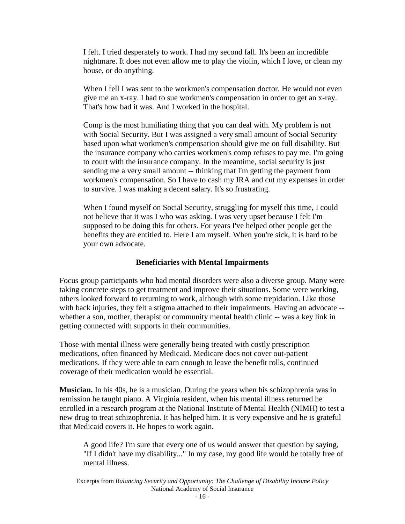<span id="page-15-0"></span>I felt. I tried desperately to work. I had my second fall. It's been an incredible nightmare. It does not even allow me to play the violin, which I love, or clean my house, or do anything.

When I fell I was sent to the workmen's compensation doctor. He would not even give me an x-ray. I had to sue workmen's compensation in order to get an x-ray. That's how bad it was. And I worked in the hospital.

Comp is the most humiliating thing that you can deal with. My problem is not with Social Security. But I was assigned a very small amount of Social Security based upon what workmen's compensation should give me on full disability. But the insurance company who carries workmen's comp refuses to pay me. I'm going to court with the insurance company. In the meantime, social security is just sending me a very small amount -- thinking that I'm getting the payment from workmen's compensation. So I have to cash my IRA and cut my expenses in order to survive. I was making a decent salary. It's so frustrating.

When I found myself on Social Security, struggling for myself this time, I could not believe that it was I who was asking. I was very upset because I felt I'm supposed to be doing this for others. For years I've helped other people get the benefits they are entitled to. Here I am myself. When you're sick, it is hard to be your own advocate.

#### **Beneficiaries with Mental Impairments**

Focus group participants who had mental disorders were also a diverse group. Many were taking concrete steps to get treatment and improve their situations. Some were working, others looked forward to returning to work, although with some trepidation. Like those with back injuries, they felt a stigma attached to their impairments. Having an advocate - whether a son, mother, therapist or community mental health clinic -- was a key link in getting connected with supports in their communities.

Those with mental illness were generally being treated with costly prescription medications, often financed by Medicaid. Medicare does not cover out-patient medications. If they were able to earn enough to leave the benefit rolls, continued coverage of their medication would be essential.

**Musician.** In his 40s, he is a musician. During the years when his schizophrenia was in remission he taught piano. A Virginia resident, when his mental illness returned he enrolled in a research program at the National Institute of Mental Health (NIMH) to test a new drug to treat schizophrenia. It has helped him. It is very expensive and he is grateful that Medicaid covers it. He hopes to work again.

A good life? I'm sure that every one of us would answer that question by saying, "If I didn't have my disability..." In my case, my good life would be totally free of mental illness.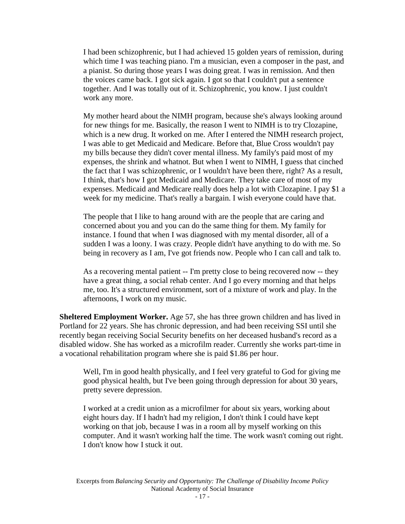I had been schizophrenic, but I had achieved 15 golden years of remission, during which time I was teaching piano. I'm a musician, even a composer in the past, and a pianist. So during those years I was doing great. I was in remission. And then the voices came back. I got sick again. I got so that I couldn't put a sentence together. And I was totally out of it. Schizophrenic, you know. I just couldn't work any more.

My mother heard about the NIMH program, because she's always looking around for new things for me. Basically, the reason I went to NIMH is to try Clozapine, which is a new drug. It worked on me. After I entered the NIMH research project, I was able to get Medicaid and Medicare. Before that, Blue Cross wouldn't pay my bills because they didn't cover mental illness. My family's paid most of my expenses, the shrink and whatnot. But when I went to NIMH, I guess that cinched the fact that I was schizophrenic, or I wouldn't have been there, right? As a result, I think, that's how I got Medicaid and Medicare. They take care of most of my expenses. Medicaid and Medicare really does help a lot with Clozapine. I pay \$1 a week for my medicine. That's really a bargain. I wish everyone could have that.

The people that I like to hang around with are the people that are caring and concerned about you and you can do the same thing for them. My family for instance. I found that when I was diagnosed with my mental disorder, all of a sudden I was a loony. I was crazy. People didn't have anything to do with me. So being in recovery as I am, I've got friends now. People who I can call and talk to.

As a recovering mental patient -- I'm pretty close to being recovered now -- they have a great thing, a social rehab center. And I go every morning and that helps me, too. It's a structured environment, sort of a mixture of work and play. In the afternoons, I work on my music.

**Sheltered Employment Worker.** Age 57, she has three grown children and has lived in Portland for 22 years. She has chronic depression, and had been receiving SSI until she recently began receiving Social Security benefits on her deceased husband's record as a disabled widow. She has worked as a microfilm reader. Currently she works part-time in a vocational rehabilitation program where she is paid \$1.86 per hour.

Well, I'm in good health physically, and I feel very grateful to God for giving me good physical health, but I've been going through depression for about 30 years, pretty severe depression.

I worked at a credit union as a microfilmer for about six years, working about eight hours day. If I hadn't had my religion, I don't think I could have kept working on that job, because I was in a room all by myself working on this computer. And it wasn't working half the time. The work wasn't coming out right. I don't know how I stuck it out.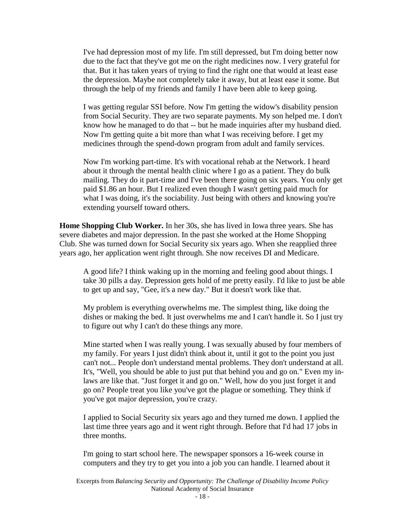I've had depression most of my life. I'm still depressed, but I'm doing better now due to the fact that they've got me on the right medicines now. I very grateful for that. But it has taken years of trying to find the right one that would at least ease the depression. Maybe not completely take it away, but at least ease it some. But through the help of my friends and family I have been able to keep going.

I was getting regular SSI before. Now I'm getting the widow's disability pension from Social Security. They are two separate payments. My son helped me. I don't know how he managed to do that -- but he made inquiries after my husband died. Now I'm getting quite a bit more than what I was receiving before. I get my medicines through the spend-down program from adult and family services.

Now I'm working part-time. It's with vocational rehab at the Network. I heard about it through the mental health clinic where I go as a patient. They do bulk mailing. They do it part-time and I've been there going on six years. You only get paid \$1.86 an hour. But I realized even though I wasn't getting paid much for what I was doing, it's the sociability. Just being with others and knowing you're extending yourself toward others.

**Home Shopping Club Worker.** In her 30s, she has lived in Iowa three years. She has severe diabetes and major depression. In the past she worked at the Home Shopping Club. She was turned down for Social Security six years ago. When she reapplied three years ago, her application went right through. She now receives DI and Medicare.

A good life? I think waking up in the morning and feeling good about things. I take 30 pills a day. Depression gets hold of me pretty easily. I'd like to just be able to get up and say, "Gee, it's a new day." But it doesn't work like that.

My problem is everything overwhelms me. The simplest thing, like doing the dishes or making the bed. It just overwhelms me and I can't handle it. So I just try to figure out why I can't do these things any more.

Mine started when I was really young. I was sexually abused by four members of my family. For years I just didn't think about it, until it got to the point you just can't not... People don't understand mental problems. They don't understand at all. It's, "Well, you should be able to just put that behind you and go on." Even my inlaws are like that. "Just forget it and go on." Well, how do you just forget it and go on? People treat you like you've got the plague or something. They think if you've got major depression, you're crazy.

I applied to Social Security six years ago and they turned me down. I applied the last time three years ago and it went right through. Before that I'd had 17 jobs in three months.

I'm going to start school here. The newspaper sponsors a 16-week course in computers and they try to get you into a job you can handle. I learned about it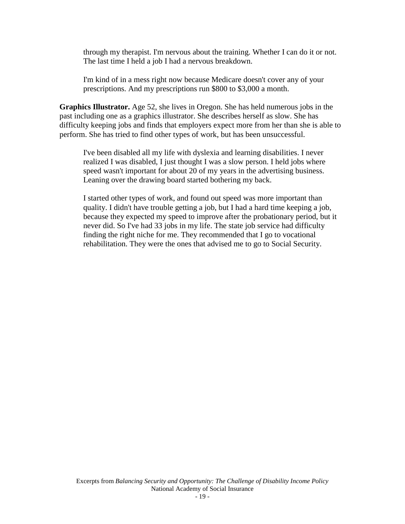through my therapist. I'm nervous about the training. Whether I can do it or not. The last time I held a job I had a nervous breakdown.

I'm kind of in a mess right now because Medicare doesn't cover any of your prescriptions. And my prescriptions run \$800 to \$3,000 a month.

**Graphics Illustrator.** Age 52, she lives in Oregon. She has held numerous jobs in the past including one as a graphics illustrator. She describes herself as slow. She has difficulty keeping jobs and finds that employers expect more from her than she is able to perform. She has tried to find other types of work, but has been unsuccessful.

I've been disabled all my life with dyslexia and learning disabilities. I never realized I was disabled, I just thought I was a slow person. I held jobs where speed wasn't important for about 20 of my years in the advertising business. Leaning over the drawing board started bothering my back.

I started other types of work, and found out speed was more important than quality. I didn't have trouble getting a job, but I had a hard time keeping a job, because they expected my speed to improve after the probationary period, but it never did. So I've had 33 jobs in my life. The state job service had difficulty finding the right niche for me. They recommended that I go to vocational rehabilitation. They were the ones that advised me to go to Social Security.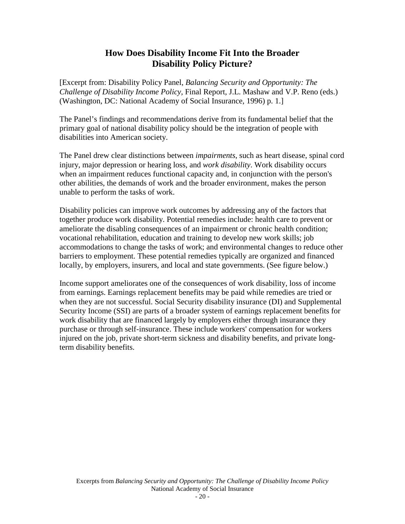# **How Does Disability Income Fit Into the Broader Disability Policy Picture?**

<span id="page-19-0"></span>[Excerpt from: Disability Policy Panel, *Balancing Security and Opportunity: The Challenge of Disability Income Policy,* Final Report, J.L. Mashaw and V.P. Reno (eds.) (Washington, DC: National Academy of Social Insurance, 1996) p. 1.]

The Panel's findings and recommendations derive from its fundamental belief that the primary goal of national disability policy should be the integration of people with disabilities into American society.

The Panel drew clear distinctions between *impairments*, such as heart disease, spinal cord injury, major depression or hearing loss, and *work disability*. Work disability occurs when an impairment reduces functional capacity and, in conjunction with the person's other abilities, the demands of work and the broader environment, makes the person unable to perform the tasks of work.

Disability policies can improve work outcomes by addressing any of the factors that together produce work disability. Potential remedies include: health care to prevent or ameliorate the disabling consequences of an impairment or chronic health condition; vocational rehabilitation, education and training to develop new work skills; job accommodations to change the tasks of work; and environmental changes to reduce other barriers to employment. These potential remedies typically are organized and financed locally, by employers, insurers, and local and state governments. (See figure below.)

Income support ameliorates one of the consequences of work disability, loss of income from earnings. Earnings replacement benefits may be paid while remedies are tried or when they are not successful. Social Security disability insurance (DI) and Supplemental Security Income (SSI) are parts of a broader system of earnings replacement benefits for work disability that are financed largely by employers either through insurance they purchase or through self-insurance. These include workers' compensation for workers injured on the job, private short-term sickness and disability benefits, and private longterm disability benefits.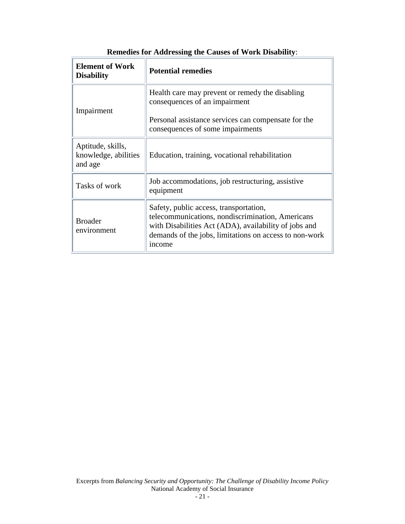| <b>Element of Work</b><br><b>Disability</b>          | <b>Potential remedies</b>                                                                                                                                                                                               |  |  |  |
|------------------------------------------------------|-------------------------------------------------------------------------------------------------------------------------------------------------------------------------------------------------------------------------|--|--|--|
| Impairment                                           | Health care may prevent or remedy the disabling<br>consequences of an impairment                                                                                                                                        |  |  |  |
|                                                      | Personal assistance services can compensate for the<br>consequences of some impairments                                                                                                                                 |  |  |  |
| Aptitude, skills,<br>knowledge, abilities<br>and age | Education, training, vocational rehabilitation                                                                                                                                                                          |  |  |  |
| Tasks of work                                        | Job accommodations, job restructuring, assistive<br>equipment                                                                                                                                                           |  |  |  |
| <b>Broader</b><br>environment                        | Safety, public access, transportation,<br>telecommunications, nondiscrimination, Americans<br>with Disabilities Act (ADA), availability of jobs and<br>demands of the jobs, limitations on access to non-work<br>income |  |  |  |

|  | <b>Remedies for Addressing the Causes of Work Disability:</b> |  |  |
|--|---------------------------------------------------------------|--|--|
|  |                                                               |  |  |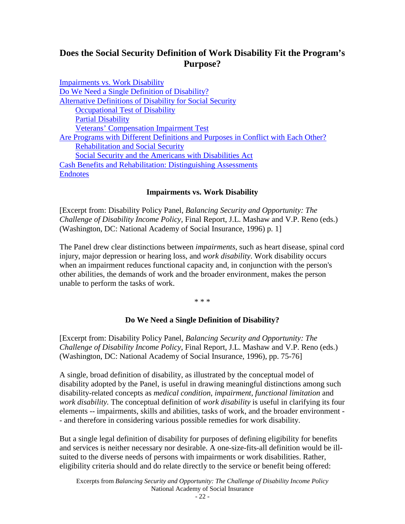# <span id="page-21-0"></span>**Does the Social Security Definition of Work Disability Fit the Program's Purpose?**

| <b>Impairments vs. Work Disability</b>                                            |
|-----------------------------------------------------------------------------------|
| Do We Need a Single Definition of Disability?                                     |
| <b>Alternative Definitions of Disability for Social Security</b>                  |
| <b>Occupational Test of Disability</b>                                            |
| <b>Partial Disability</b>                                                         |
| <b>Veterans' Compensation Impairment Test</b>                                     |
| Are Programs with Different Definitions and Purposes in Conflict with Each Other? |
| <b>Rehabilitation and Social Security</b>                                         |
| Social Security and the Americans with Disabilities Act                           |
| <b>Cash Benefits and Rehabilitation: Distinguishing Assessments</b>               |
| <b>Endnotes</b>                                                                   |

### **Impairments vs. Work Disability**

[Excerpt from: Disability Policy Panel, *Balancing Security and Opportunity: The Challenge of Disability Income Policy,* Final Report, J.L. Mashaw and V.P. Reno (eds.) (Washington, DC: National Academy of Social Insurance, 1996) p. 1]

The Panel drew clear distinctions between *impairments*, such as heart disease, spinal cord injury, major depression or hearing loss, and *work disability*. Work disability occurs when an impairment reduces functional capacity and, in conjunction with the person's other abilities, the demands of work and the broader environment, makes the person unable to perform the tasks of work.

\* \* \*

#### **Do We Need a Single Definition of Disability?**

[Excerpt from: Disability Policy Panel, *Balancing Security and Opportunity: The Challenge of Disability Income Policy,* Final Report, J.L. Mashaw and V.P. Reno (eds.) (Washington, DC: National Academy of Social Insurance, 1996), pp. 75-76]

A single, broad definition of disability, as illustrated by the conceptual model of disability adopted by the Panel, is useful in drawing meaningful distinctions among such disability-related concepts as *medical condition*, *impairment*, *functional limitation* and *work disability.* The conceptual definition of *work disability* is useful in clarifying its four elements -- impairments, skills and abilities, tasks of work, and the broader environment - - and therefore in considering various possible remedies for work disability.

But a single legal definition of disability for purposes of defining eligibility for benefits and services is neither necessary nor desirable. A one-size-fits-all definition would be illsuited to the diverse needs of persons with impairments or work disabilities. Rather, eligibility criteria should and do relate directly to the service or benefit being offered: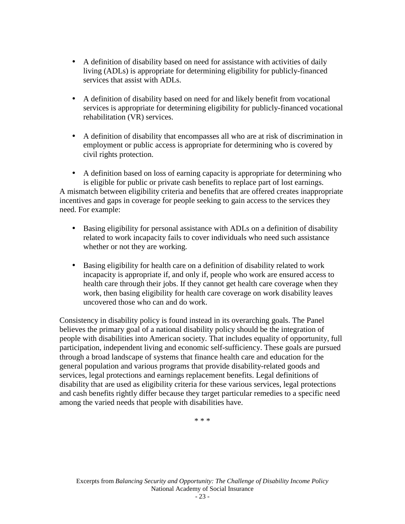- A definition of disability based on need for assistance with activities of daily living (ADLs) is appropriate for determining eligibility for publicly-financed services that assist with ADLs.
- A definition of disability based on need for and likely benefit from vocational services is appropriate for determining eligibility for publicly-financed vocational rehabilitation (VR) services.
- A definition of disability that encompasses all who are at risk of discrimination in employment or public access is appropriate for determining who is covered by civil rights protection.

• A definition based on loss of earning capacity is appropriate for determining who is eligible for public or private cash benefits to replace part of lost earnings. A mismatch between eligibility criteria and benefits that are offered creates inappropriate incentives and gaps in coverage for people seeking to gain access to the services they need. For example:

- Basing eligibility for personal assistance with ADLs on a definition of disability related to work incapacity fails to cover individuals who need such assistance whether or not they are working.
- Basing eligibility for health care on a definition of disability related to work incapacity is appropriate if, and only if, people who work are ensured access to health care through their jobs. If they cannot get health care coverage when they work, then basing eligibility for health care coverage on work disability leaves uncovered those who can and do work.

Consistency in disability policy is found instead in its overarching goals. The Panel believes the primary goal of a national disability policy should be the integration of people with disabilities into American society. That includes equality of opportunity, full participation, independent living and economic self-sufficiency. These goals are pursued through a broad landscape of systems that finance health care and education for the general population and various programs that provide disability-related goods and services, legal protections and earnings replacement benefits. Legal definitions of disability that are used as eligibility criteria for these various services, legal protections and cash benefits rightly differ because they target particular remedies to a specific need among the varied needs that people with disabilities have.

\* \* \*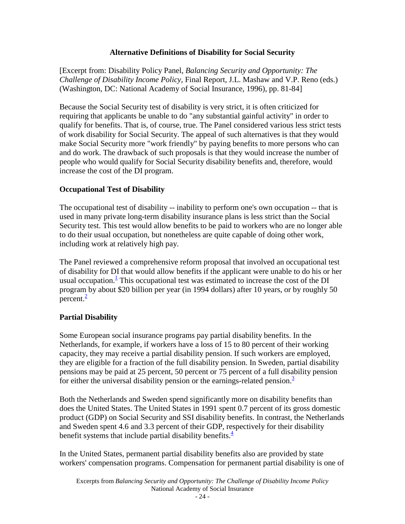## **Alternative Definitions of Disability for Social Security**

<span id="page-23-0"></span>[Excerpt from: Disability Policy Panel, *Balancing Security and Opportunity: The Challenge of Disability Income Policy,* Final Report, J.L. Mashaw and V.P. Reno (eds.) (Washington, DC: National Academy of Social Insurance, 1996), pp. 81-84]

Because the Social Security test of disability is very strict, it is often criticized for requiring that applicants be unable to do "any substantial gainful activity" in order to qualify for benefits. That is, of course, true. The Panel considered various less strict tests of work disability for Social Security. The appeal of such alternatives is that they would make Social Security more "work friendly" by paying benefits to more persons who can and do work. The drawback of such proposals is that they would increase the number of people who would qualify for Social Security disability benefits and, therefore, would increase the cost of the DI program.

## **Occupational Test of Disability**

The occupational test of disability -- inability to perform one's own occupation -- that is used in many private long-term disability insurance plans is less strict than the Social Security test. This test would allow benefits to be paid to workers who are no longer able to do their usual occupation, but nonetheless are quite capable of doing other work, including work at relatively high pay.

The Panel reviewed a comprehensive reform proposal that involved an occupational test of disability for DI that would allow benefits if the applicant were unable to do his or her usual occupation. $<sup>1</sup>$  This occupational test was estimated to increase the cost of the DI</sup> program by about \$20 billion per year (in 1994 dollars) after 10 years, or by roughly 50 percent. $\frac{2}{3}$ 

## **Partial Disability**

Some European social insurance programs pay partial disability benefits. In the Netherlands, for example, if workers have a loss of 15 to 80 percent of their working capacity, they may receive a partial disability pension. If such workers are employed, they are eligible for a fraction of the full disability pension. In Sweden, partial disability pensions may be paid at 25 percent, 50 percent or 75 percent of a full disability pension for either the universal disability pension or the earnings-related pension.<sup>3</sup>

Both the Netherlands and Sweden spend significantly more on disability benefits than does the United States. The United States in 1991 spent 0.7 percent of its gross domestic product (GDP) on Social Security and SSI disability benefits. In contrast, the Netherlands and Sweden spent 4.6 and 3.3 percent of their GDP, respectively for their disability benefit systems that include partial disability benefit[s.](#page-29-0) $\frac{4}{3}$ 

In the United States, permanent partial disability benefits also are provided by state workers' compensation programs. Compensation for permanent partial disability is one of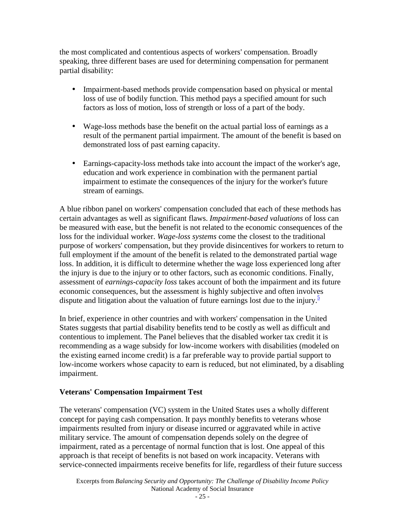<span id="page-24-0"></span>the most complicated and contentious aspects of workers' compensation. Broadly speaking, three different bases are used for determining compensation for permanent partial disability:

- Impairment-based methods provide compensation based on physical or mental loss of use of bodily function. This method pays a specified amount for such factors as loss of motion, loss of strength or loss of a part of the body.
- Wage-loss methods base the benefit on the actual partial loss of earnings as a result of the permanent partial impairment. The amount of the benefit is based on demonstrated loss of past earning capacity.
- Earnings-capacity-loss methods take into account the impact of the worker's age, education and work experience in combination with the permanent partial impairment to estimate the consequences of the injury for the worker's future stream of earnings.

A blue ribbon panel on workers' compensation concluded that each of these methods has certain advantages as well as significant flaws. *Impairment-based valuations* of loss can be measured with ease, but the benefit is not related to the economic consequences of the loss for the individual worker. *Wage-loss systems* come the closest to the traditional purpose of workers' compensation, but they provide disincentives for workers to return to full employment if the amount of the benefit is related to the demonstrated partial wage loss. In addition, it is difficult to determine whether the wage loss experienced long after the injury is due to the injury or to other factors, such as economic conditions. Finally, assessment of *earnings-capacity loss* takes account of both the impairment and its future economic consequences, but the assessment is highly subjective and often involves dispute and litigation about the valuation of future earnings lost due to the injury. $\frac{5}{5}$ 

In brief, experience in other countries and with workers' compensation in the United States suggests that partial disability benefits tend to be costly as well as difficult and contentious to implement. The Panel believes that the disabled worker tax credit it is recommending as a wage subsidy for low-income workers with disabilities (modeled on the existing earned income credit) is a far preferable way to provide partial support to low-income workers whose capacity to earn is reduced, but not eliminated, by a disabling impairment.

# **Veterans' Compensation Impairment Test**

The veterans' compensation (VC) system in the United States uses a wholly different concept for paying cash compensation. It pays monthly benefits to veterans whose impairments resulted from injury or disease incurred or aggravated while in active military service. The amount of compensation depends solely on the degree of impairment, rated as a percentage of normal function that is lost. One appeal of this approach is that receipt of benefits is not based on work incapacity. Veterans with service-connected impairments receive benefits for life, regardless of their future success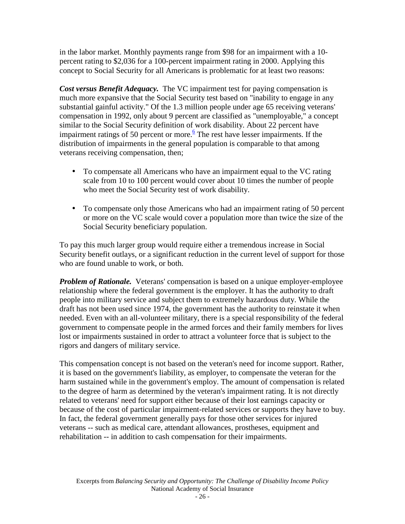in the labor market. Monthly payments range from \$98 for an impairment with a 10 percent rating to \$2,036 for a 100-percent impairment rating in 2000. Applying this concept to Social Security for all Americans is problematic for at least two reasons:

*Cost versus Benefit Adequacy.* The VC impairment test for paying compensation is much more expansive that the Social Security test based on "inability to engage in any substantial gainful activity." Of the 1.3 million people under age 65 receiving veterans' compensation in 1992, only about 9 percent are classified as "unemployable," a concept similar to the Social Security definition of work disability. About 22 percent have impairment ratings of 50 percent or more. $6$  The rest have lesser impairments. If the distribution of impairments in the general population is comparable to that among veterans receiving compensation, then;

- To compensate all Americans who have an impairment equal to the VC rating scale from 10 to 100 percent would cover about 10 times the number of people who meet the Social Security test of work disability.
- To compensate only those Americans who had an impairment rating of 50 percent or more on the VC scale would cover a population more than twice the size of the Social Security beneficiary population.

To pay this much larger group would require either a tremendous increase in Social Security benefit outlays, or a significant reduction in the current level of support for those who are found unable to work, or both.

*Problem of Rationale.* Veterans' compensation is based on a unique employer-employee relationship where the federal government is the employer. It has the authority to draft people into military service and subject them to extremely hazardous duty. While the draft has not been used since 1974, the government has the authority to reinstate it when needed. Even with an all-volunteer military, there is a special responsibility of the federal government to compensate people in the armed forces and their family members for lives lost or impairments sustained in order to attract a volunteer force that is subject to the rigors and dangers of military service.

This compensation concept is not based on the veteran's need for income support. Rather, it is based on the government's liability, as employer, to compensate the veteran for the harm sustained while in the government's employ. The amount of compensation is related to the degree of harm as determined by the veteran's impairment rating. It is not directly related to veterans' need for support either because of their lost earnings capacity or because of the cost of particular impairment-related services or supports they have to buy. In fact, the federal government generally pays for those other services for injured veterans -- such as medical care, attendant allowances, prostheses, equipment and rehabilitation -- in addition to cash compensation for their impairments.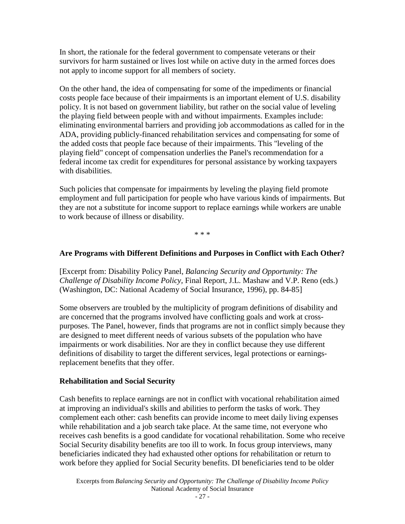<span id="page-26-0"></span>In short, the rationale for the federal government to compensate veterans or their survivors for harm sustained or lives lost while on active duty in the armed forces does not apply to income support for all members of society.

On the other hand, the idea of compensating for some of the impediments or financial costs people face because of their impairments is an important element of U.S. disability policy. It is not based on government liability, but rather on the social value of leveling the playing field between people with and without impairments. Examples include: eliminating environmental barriers and providing job accommodations as called for in the ADA, providing publicly-financed rehabilitation services and compensating for some of the added costs that people face because of their impairments. This "leveling of the playing field" concept of compensation underlies the Panel's recommendation for a federal income tax credit for expenditures for personal assistance by working taxpayers with disabilities.

Such policies that compensate for impairments by leveling the playing field promote employment and full participation for people who have various kinds of impairments. But they are not a substitute for income support to replace earnings while workers are unable to work because of illness or disability.

\* \* \*

# **Are Programs with Different Definitions and Purposes in Conflict with Each Other?**

[Excerpt from: Disability Policy Panel, *Balancing Security and Opportunity: The Challenge of Disability Income Policy,* Final Report, J.L. Mashaw and V.P. Reno (eds.) (Washington, DC: National Academy of Social Insurance, 1996), pp. 84-85]

Some observers are troubled by the multiplicity of program definitions of disability and are concerned that the programs involved have conflicting goals and work at crosspurposes. The Panel, however, finds that programs are not in conflict simply because they are designed to meet different needs of various subsets of the population who have impairments or work disabilities. Nor are they in conflict because they use different definitions of disability to target the different services, legal protections or earningsreplacement benefits that they offer.

## **Rehabilitation and Social Security**

Cash benefits to replace earnings are not in conflict with vocational rehabilitation aimed at improving an individual's skills and abilities to perform the tasks of work. They complement each other: cash benefits can provide income to meet daily living expenses while rehabilitation and a job search take place. At the same time, not everyone who receives cash benefits is a good candidate for vocational rehabilitation. Some who receive Social Security disability benefits are too ill to work. In focus group interviews, many beneficiaries indicated they had exhausted other options for rehabilitation or return to work before they applied for Social Security benefits. DI beneficiaries tend to be older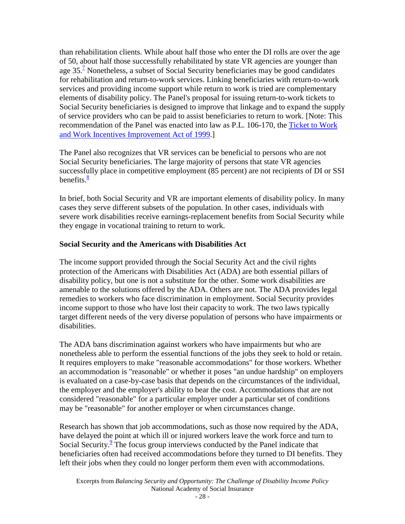<span id="page-27-0"></span>than rehabilitation clients. While about half those who enter the DI rolls are over the age of 50, about half those successfully rehabilitated by state VR agencies are younger than age  $35<sup>7</sup>$  Nonetheless, a subset of Social Security beneficiaries may be good candidates for rehabilitation and return-to-work services. Linking beneficiaries with return-to-work services and providing income support while return to work is tried are complementary elements of disability policy. The Panel's proposal for issuing return-to-work tickets to Social Security beneficiaries is designed to improve that linkage and to expand the supply of service providers who can be paid to assist beneficiaries to return to work. [Note: This recommendation of the Panel was enacted into law as P.L. 106-170, the [Ticket to Work](http://www.ssa.gov/work/ResourcesToolkit/legisreg2.html)  [and Work Incentives Improvement Act of 1999.](http://www.ssa.gov/work/ResourcesToolkit/legisreg2.html)]

The Panel also recognizes that VR services can be beneficial to persons who are not Social Security beneficiaries. The large majority of persons that state VR agencies successfully place in competitive employment (85 percent) are not recipients of DI or SSI benefits. $\frac{8}{3}$ 

In brief, both Social Security and VR are important elements of disability policy. In many cases they serve different subsets of the population. In other cases, individuals with severe work disabilities receive earnings-replacement benefits from Social Security while they engage in vocational training to return to work.

## **Social Security and the Americans with Disabilities Act**

The income support provided through the Social Security Act and the civil rights protection of the Americans with Disabilities Act (ADA) are both essential pillars of disability policy, but one is not a substitute for the other. Some work disabilities are amenable to the solutions offered by the ADA. Others are not. The ADA provides legal remedies to workers who face discrimination in employment. Social Security provides income support to those who have lost their capacity to work. The two laws typically target different needs of the very diverse population of persons who have impairments or disabilities.

The ADA bans discrimination against workers who have impairments but who are nonetheless able to perform the essential functions of the jobs they seek to hold or retain. It requires employers to make "reasonable accommodations" for those workers. Whether an accommodation is "reasonable" or whether it poses "an undue hardship" on employers is evaluated on a case-by-case basis that depends on the circumstances of the individual, the employer and the employer's ability to bear the cost. Accommodations that are not considered "reasonable" for a particular employer under a particular set of conditions may be "reasonable" for another employer or when circumstances change.

Research has shown that job accommodations, such as those now required by the ADA, have delayed the point at which ill or injured workers leave the work force and turn to Social Security. $\frac{9}{5}$  The focus group interviews conducted by the Panel indicate that beneficiaries often had received accommodations before they turned to DI benefits. They left their jobs when they could no longer perform them even with accommodations.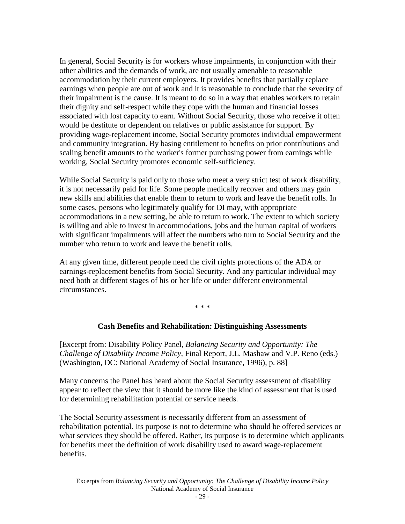<span id="page-28-0"></span>In general, Social Security is for workers whose impairments, in conjunction with their other abilities and the demands of work, are not usually amenable to reasonable accommodation by their current employers. It provides benefits that partially replace earnings when people are out of work and it is reasonable to conclude that the severity of their impairment is the cause. It is meant to do so in a way that enables workers to retain their dignity and self-respect while they cope with the human and financial losses associated with lost capacity to earn. Without Social Security, those who receive it often would be destitute or dependent on relatives or public assistance for support. By providing wage-replacement income, Social Security promotes individual empowerment and community integration. By basing entitlement to benefits on prior contributions and scaling benefit amounts to the worker's former purchasing power from earnings while working, Social Security promotes economic self-sufficiency.

While Social Security is paid only to those who meet a very strict test of work disability, it is not necessarily paid for life. Some people medically recover and others may gain new skills and abilities that enable them to return to work and leave the benefit rolls. In some cases, persons who legitimately qualify for DI may, with appropriate accommodations in a new setting, be able to return to work. The extent to which society is willing and able to invest in accommodations, jobs and the human capital of workers with significant impairments will affect the numbers who turn to Social Security and the number who return to work and leave the benefit rolls.

At any given time, different people need the civil rights protections of the ADA or earnings-replacement benefits from Social Security. And any particular individual may need both at different stages of his or her life or under different environmental circumstances.

\* \* \*

#### **Cash Benefits and Rehabilitation: Distinguishing Assessments**

[Excerpt from: Disability Policy Panel, *Balancing Security and Opportunity: The Challenge of Disability Income Policy,* Final Report, J.L. Mashaw and V.P. Reno (eds.) (Washington, DC: National Academy of Social Insurance, 1996), p. 88]

Many concerns the Panel has heard about the Social Security assessment of disability appear to reflect the view that it should be more like the kind of assessment that is used for determining rehabilitation potential or service needs.

The Social Security assessment is necessarily different from an assessment of rehabilitation potential. Its purpose is not to determine who should be offered services or what services they should be offered. Rather, its purpose is to determine which applicants for benefits meet the definition of work disability used to award wage-replacement benefits.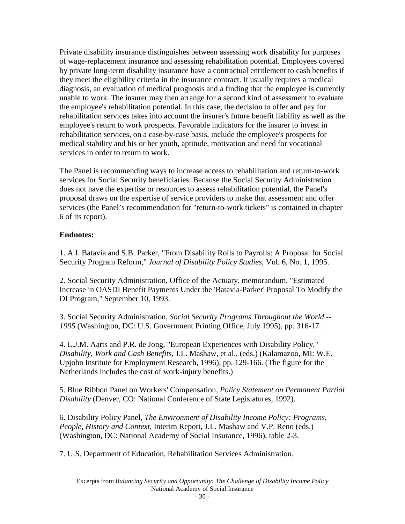<span id="page-29-0"></span>Private disability insurance distinguishes between assessing work disability for purposes of wage-replacement insurance and assessing rehabilitation potential. Employees covered by private long-term disability insurance have a contractual entitlement to cash benefits if they meet the eligibility criteria in the insurance contract. It usually requires a medical diagnosis, an evaluation of medical prognosis and a finding that the employee is currently unable to work. The insurer may then arrange for a second kind of assessment to evaluate the employee's rehabilitation potential. In this case, the decision to offer and pay for rehabilitation services takes into account the insurer's future benefit liability as well as the employee's return to work prospects. Favorable indicators for the insurer to invest in rehabilitation services, on a case-by-case basis, include the employee's prospects for medical stability and his or her youth, aptitude, motivation and need for vocational services in order to return to work.

The Panel is recommending ways to increase access to rehabilitation and return-to-work services for Social Security beneficiaries. Because the Social Security Administration does not have the expertise or resources to assess rehabilitation potential, the Panel's proposal draws on the expertise of service providers to make that assessment and offer services (the Panel's recommendation for "return-to-work tickets" is contained in chapter 6 of its report).

# **Endnotes:**

1. A.I. Batavia and S.B. Parker, "From Disability Rolls to Payrolls: A Proposal for Social Security Program Reform," *Journal of Disability Policy Studies*, Vol. 6, No. 1, 1995.

2. Social Security Administration, Office of the Actuary, memorandum, "Estimated Increase in OASDI Benefit Payments Under the 'Batavia-Parker' Proposal To Modify the DI Program," September 10, 1993.

3. Social Security Administration, *Social Security Programs Throughout the World -- 1995* (Washington, DC: U.S. Government Printing Office, July 1995), pp. 316-17.

4. L.J.M. Aarts and P.R. de Jong, "European Experiences with Disability Policy," *Disability, Work and Cash Benefits*, J.L. Mashaw, et al., (eds.) (Kalamazoo, MI: W.E. Upjohn Institute for Employment Research, 1996), pp. 129-166. (The figure for the Netherlands includes the cost of work-injury benefits.)

5. Blue Ribbon Panel on Workers' Compensation, *Policy Statement on Permanent Partial Disability* (Denver, CO: National Conference of State Legislatures, 1992).

6. Disability Policy Panel, *The Environment of Disability Income Policy: Programs, People, History and Context,* Interim Report, J.L. Mashaw and V.P. Reno (eds.) (Washington, DC: National Academy of Social Insurance, 1996), table 2-3.

7. U.S. Department of Education, Rehabilitation Services Administration.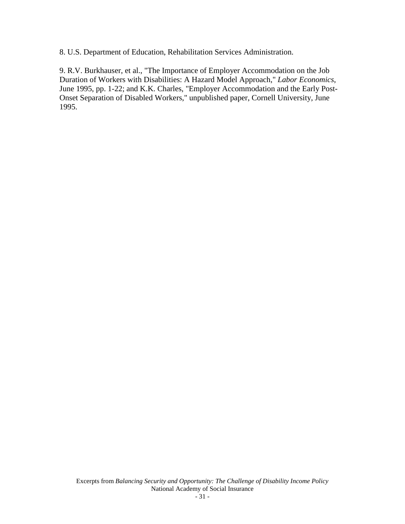<span id="page-30-0"></span>8. U.S. Department of Education, Rehabilitation Services Administration.

9. R.V. Burkhauser, et al., "The Importance of Employer Accommodation on the Job Duration of Workers with Disabilities: A Hazard Model Approach," *Labor Economics*, June 1995, pp. 1-22; and K.K. Charles, "Employer Accommodation and the Early Post-Onset Separation of Disabled Workers," unpublished paper, Cornell University, June 1995.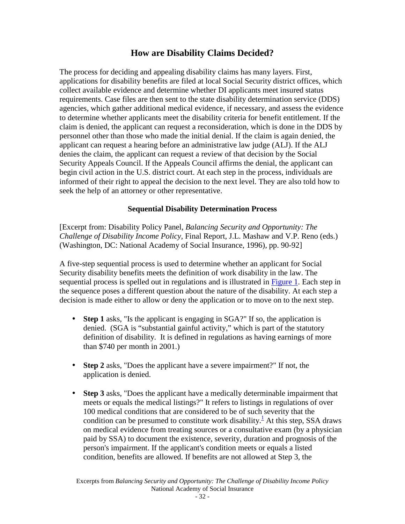# **How are Disability Claims Decided?**

<span id="page-31-0"></span>The process for deciding and appealing disability claims has many layers. First, applications for disability benefits are filed at local Social Security district offices, which collect available evidence and determine whether DI applicants meet insured status requirements. Case files are then sent to the state disability determination service (DDS) agencies, which gather additional medical evidence, if necessary, and assess the evidence to determine whether applicants meet the disability criteria for benefit entitlement. If the claim is denied, the applicant can request a reconsideration, which is done in the DDS by personnel other than those who made the initial denial. If the claim is again denied, the applicant can request a hearing before an administrative law judge (ALJ). If the ALJ denies the claim, the applicant can request a review of that decision by the Social Security Appeals Council. If the Appeals Council affirms the denial, the applicant can begin civil action in the U.S. district court. At each step in the process, individuals are informed of their right to appeal the decision to the next level. They are also told how to seek the help of an attorney or other representative.

# **Sequential Disability Determination Process**

[Excerpt from: Disability Policy Panel, *Balancing Security and Opportunity: The Challenge of Disability Income Policy,* Final Report, J.L. Mashaw and V.P. Reno (eds.) (Washington, DC: National Academy of Social Insurance, 1996), pp. 90-92]

A five-step sequential process is used to determine whether an applicant for Social Security disability benefits meets the definition of work disability in the law. The sequential process is spelled out in regulations and is illustrated in [Figure 1.](#page-33-0) Each step in the sequence poses a different question about the nature of the disability. At each step a decision is made either to allow or deny the application or to move on to the next step.

- **Step 1** asks, "Is the applicant is engaging in SGA?" If so, the application is denied. (SGA is "substantial gainful activity," which is part of the statutory definition of disability. It is defined in regulations as having earnings of more than \$740 per month in 2001.)
- **Step 2** asks, "Does the applicant have a severe impairment?" If not, the application is denied.
- **Step 3** asks, "Does the applicant have a medically determinable impairment that meets or equals the medical listings?" It refers to listings in regulations of over 100 medical conditions that are considered to be of suc[h s](#page-32-0)everity that the condition can be presumed to constitute work disability.<sup>1</sup> At this step, SSA draws on medical evidence from treating sources or a consultative exam (by a physician paid by SSA) to document the existence, severity, duration and prognosis of the person's impairment. If the applicant's condition meets or equals a listed condition, benefits are allowed. If benefits are not allowed at Step 3, the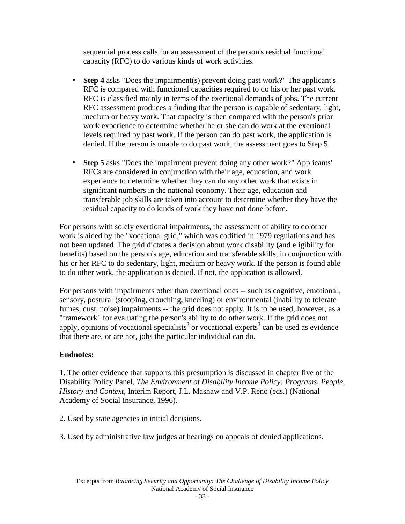<span id="page-32-0"></span>sequential process calls for an assessment of the person's residual functional capacity (RFC) to do various kinds of work activities.

- **Step 4** asks "Does the impairment(s) prevent doing past work?" The applicant's RFC is compared with functional capacities required to do his or her past work. RFC is classified mainly in terms of the exertional demands of jobs. The current RFC assessment produces a finding that the person is capable of sedentary, light, medium or heavy work. That capacity is then compared with the person's prior work experience to determine whether he or she can do work at the exertional levels required by past work. If the person can do past work, the application is denied. If the person is unable to do past work, the assessment goes to Step 5.
- **Step 5** asks "Does the impairment prevent doing any other work?" Applicants' RFCs are considered in conjunction with their age, education, and work experience to determine whether they can do any other work that exists in significant numbers in the national economy. Their age, education and transferable job skills are taken into account to determine whether they have the residual capacity to do kinds of work they have not done before.

For persons with solely exertional impairments, the assessment of ability to do other work is aided by the "vocational grid," which was codified in 1979 regulations and has not been updated. The grid dictates a decision about work disability (and eligibility for benefits) based on the person's age, education and transferable skills, in conjunction with his or her RFC to do sedentary, light, medium or heavy work. If the person is found able to do other work, the application is denied. If not, the application is allowed.

For persons with impairments other than exertional ones -- such as cognitive, emotional, sensory, postural (stooping, crouching, kneeling) or environmental (inability to tolerate fumes, dust, noise) impairments -- the grid does not apply. It is to be used, however, as a "framework" for evaluating the person's ability to do other work. If the grid does not apply, opinions of vocational specialists<sup>2</sup> or vocational experts<sup>3</sup> can be used as evidence that there are, or are not, jobs the particular individual can do.

# **Endnotes:**

1. The other evidence that supports this presumption is discussed in chapter five of the Disability Policy Panel, *The Environment of Disability Income Policy: Programs, People, History and Context,* Interim Report, J.L. Mashaw and V.P. Reno (eds.) (National Academy of Social Insurance, 1996).

2. Used by state agencies in initial decisions.

3. Used by administrative law judges at hearings on appeals of denied applications.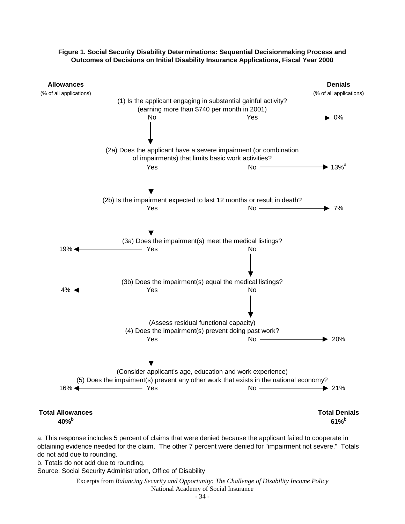#### **Figure 1. Social Security Disability Determinations: Sequential Decisionmaking Process and Outcomes of Decisions on Initial Disability Insurance Applications, Fiscal Year 2000**

<span id="page-33-0"></span>

a. This response includes 5 percent of claims that were denied because the applicant failed to cooperate in obtaining evidence needed for the claim. The other 7 percent were denied for "impairment not severe." Totals do not add due to rounding.

b. Totals do not add due to rounding.

Source: Social Security Administration, Office of Disability

Excerpts from *Balancing Security and Opportunity: The Challenge of Disability Income Policy*  National Academy of Social Insurance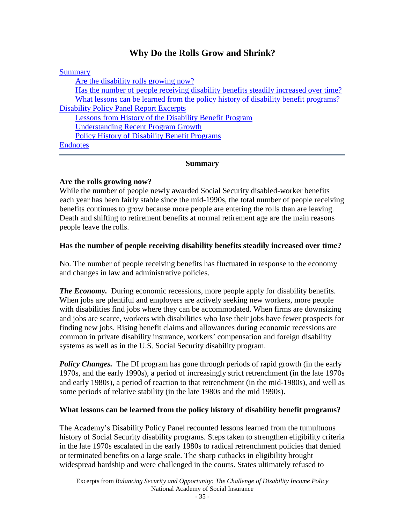# **Why Do the Rolls Grow and Shrink?**

<span id="page-34-0"></span>

| <b>Summary</b>                                                                       |
|--------------------------------------------------------------------------------------|
| Are the disability rolls growing now?                                                |
| Has the number of people receiving disability benefits steadily increased over time? |
| What lessons can be learned from the policy history of disability benefit programs?  |
| <b>Disability Policy Panel Report Excerpts</b>                                       |
| Lessons from History of the Disability Benefit Program                               |
| <b>Understanding Recent Program Growth</b>                                           |
| <b>Policy History of Disability Benefit Programs</b>                                 |
| <b>Endnotes</b>                                                                      |
|                                                                                      |

#### **Summary**

#### **Are the rolls growing now?**

While the number of people newly awarded Social Security disabled-worker benefits each year has been fairly stable since the mid-1990s, the total number of people receiving benefits continues to grow because more people are entering the rolls than are leaving. Death and shifting to retirement benefits at normal retirement age are the main reasons people leave the rolls.

#### **Has the number of people receiving disability benefits steadily increased over time?**

No. The number of people receiving benefits has fluctuated in response to the economy and changes in law and administrative policies.

*The Economy.* During economic recessions, more people apply for disability benefits. When jobs are plentiful and employers are actively seeking new workers, more people with disabilities find jobs where they can be accommodated. When firms are downsizing and jobs are scarce, workers with disabilities who lose their jobs have fewer prospects for finding new jobs. Rising benefit claims and allowances during economic recessions are common in private disability insurance, workers' compensation and foreign disability systems as well as in the U.S. Social Security disability program.

*Policy Changes.* The DI program has gone through periods of rapid growth (in the early 1970s, and the early 1990s), a period of increasingly strict retrenchment (in the late 1970s and early 1980s), a period of reaction to that retrenchment (in the mid-1980s), and well as some periods of relative stability (in the late 1980s and the mid 1990s).

#### **What lessons can be learned from the policy history of disability benefit programs?**

The Academy's Disability Policy Panel recounted lessons learned from the tumultuous history of Social Security disability programs. Steps taken to strengthen eligibility criteria in the late 1970s escalated in the early 1980s to radical retrenchment policies that denied or terminated benefits on a large scale. The sharp cutbacks in eligibility brought widespread hardship and were challenged in the courts. States ultimately refused to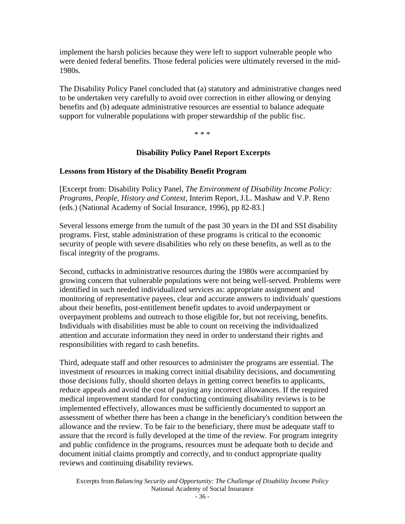<span id="page-35-0"></span>implement the harsh policies because they were left to support vulnerable people who were denied federal benefits. Those federal policies were ultimately reversed in the mid-1980s.

The Disability Policy Panel concluded that (a) statutory and administrative changes need to be undertaken very carefully to avoid over correction in either allowing or denying benefits and (b) adequate administrative resources are essential to balance adequate support for vulnerable populations with proper stewardship of the public fisc.

\* \* \*

### **Disability Policy Panel Report Excerpts**

### **Lessons from History of the Disability Benefit Program**

[Excerpt from: Disability Policy Panel, *The Environment of Disability Income Policy: Programs, People, History and Context,* Interim Report, J.L. Mashaw and V.P. Reno (eds.) (National Academy of Social Insurance, 1996), pp 82-83.]

Several lessons emerge from the tumult of the past 30 years in the DI and SSI disability programs. First, stable administration of these programs is critical to the economic security of people with severe disabilities who rely on these benefits, as well as to the fiscal integrity of the programs.

Second, cutbacks in administrative resources during the 1980s were accompanied by growing concern that vulnerable populations were not being well-served. Problems were identified in such needed individualized services as: appropriate assignment and monitoring of representative payees, clear and accurate answers to individuals' questions about their benefits, post-entitlement benefit updates to avoid underpayment or overpayment problems and outreach to those eligible for, but not receiving, benefits. Individuals with disabilities must be able to count on receiving the individualized attention and accurate information they need in order to understand their rights and responsibilities with regard to cash benefits.

Third, adequate staff and other resources to administer the programs are essential. The investment of resources in making correct initial disability decisions, and documenting those decisions fully, should shorten delays in getting correct benefits to applicants, reduce appeals and avoid the cost of paying any incorrect allowances. If the required medical improvement standard for conducting continuing disability reviews is to be implemented effectively, allowances must be sufficiently documented to support an assessment of whether there has been a change in the beneficiary's condition between the allowance and the review. To be fair to the beneficiary, there must be adequate staff to assure that the record is fully developed at the time of the review. For program integrity and public confidence in the programs, resources must be adequate both to decide and document initial claims promptly and correctly, and to conduct appropriate quality reviews and continuing disability reviews.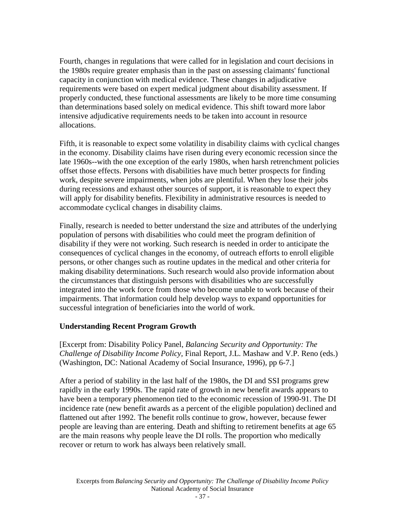<span id="page-36-0"></span>Fourth, changes in regulations that were called for in legislation and court decisions in the 1980s require greater emphasis than in the past on assessing claimants' functional capacity in conjunction with medical evidence. These changes in adjudicative requirements were based on expert medical judgment about disability assessment. If properly conducted, these functional assessments are likely to be more time consuming than determinations based solely on medical evidence. This shift toward more labor intensive adjudicative requirements needs to be taken into account in resource allocations.

Fifth, it is reasonable to expect some volatility in disability claims with cyclical changes in the economy. Disability claims have risen during every economic recession since the late 1960s--with the one exception of the early 1980s, when harsh retrenchment policies offset those effects. Persons with disabilities have much better prospects for finding work, despite severe impairments, when jobs are plentiful. When they lose their jobs during recessions and exhaust other sources of support, it is reasonable to expect they will apply for disability benefits. Flexibility in administrative resources is needed to accommodate cyclical changes in disability claims.

Finally, research is needed to better understand the size and attributes of the underlying population of persons with disabilities who could meet the program definition of disability if they were not working. Such research is needed in order to anticipate the consequences of cyclical changes in the economy, of outreach efforts to enroll eligible persons, or other changes such as routine updates in the medical and other criteria for making disability determinations. Such research would also provide information about the circumstances that distinguish persons with disabilities who are successfully integrated into the work force from those who become unable to work because of their impairments. That information could help develop ways to expand opportunities for successful integration of beneficiaries into the world of work.

## **Understanding Recent Program Growth**

[Excerpt from: Disability Policy Panel, *Balancing Security and Opportunity: The Challenge of Disability Income Policy,* Final Report, J.L. Mashaw and V.P. Reno (eds.) (Washington, DC: National Academy of Social Insurance, 1996), pp 6-7.]

After a period of stability in the last half of the 1980s, the DI and SSI programs grew rapidly in the early 1990s. The rapid rate of growth in new benefit awards appears to have been a temporary phenomenon tied to the economic recession of 1990-91. The DI incidence rate (new benefit awards as a percent of the eligible population) declined and flattened out after 1992. The benefit rolls continue to grow, however, because fewer people are leaving than are entering. Death and shifting to retirement benefits at age 65 are the main reasons why people leave the DI rolls. The proportion who medically recover or return to work has always been relatively small.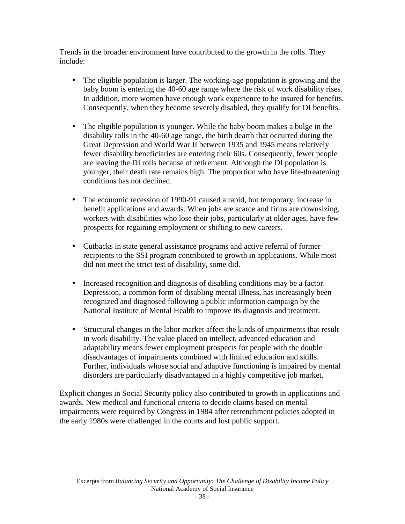Trends in the broader environment have contributed to the growth in the rolls. They include:

- The eligible population is larger. The working-age population is growing and the baby boom is entering the 40-60 age range where the risk of work disability rises. In addition, more women have enough work experience to be insured for benefits. Consequently, when they become severely disabled, they qualify for DI benefits.
- The eligible population is younger. While the baby boom makes a bulge in the disability rolls in the 40-60 age range, the birth dearth that occurred during the Great Depression and World War II between 1935 and 1945 means relatively fewer disability beneficiaries are entering their 60s. Consequently, fewer people are leaving the DI rolls because of retirement. Although the DI population is younger, their death rate remains high. The proportion who have life-threatening conditions has not declined.
- The economic recession of 1990-91 caused a rapid, but temporary, increase in benefit applications and awards. When jobs are scarce and firms are downsizing, workers with disabilities who lose their jobs, particularly at older ages, have few prospects for regaining employment or shifting to new careers.
- Cutbacks in state general assistance programs and active referral of former recipients to the SSI program contributed to growth in applications. While most did not meet the strict test of disability, some did.
- Increased recognition and diagnosis of disabling conditions may be a factor. Depression, a common form of disabling mental illness, has increasingly been recognized and diagnosed following a public information campaign by the National Institute of Mental Health to improve its diagnosis and treatment.
- Structural changes in the labor market affect the kinds of impairments that result in work disability. The value placed on intellect, advanced education and adaptability means fewer employment prospects for people with the double disadvantages of impairments combined with limited education and skills. Further, individuals whose social and adaptive functioning is impaired by mental disorders are particularly disadvantaged in a highly competitive job market.

Explicit changes in Social Security policy also contributed to growth in applications and awards. New medical and functional criteria to decide claims based on mental impairments were required by Congress in 1984 after retrenchment policies adopted in the early 1980s were challenged in the courts and lost public support.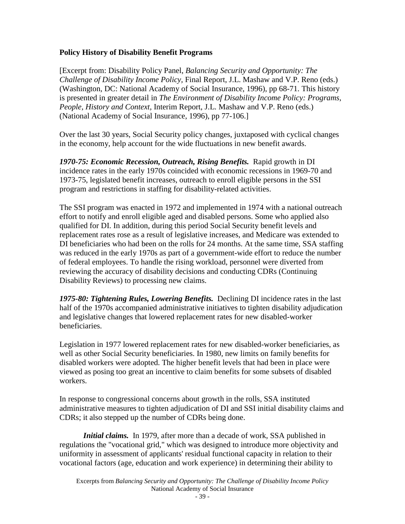## <span id="page-38-0"></span>**Policy History of Disability Benefit Programs**

[Excerpt from: Disability Policy Panel, *Balancing Security and Opportunity: The Challenge of Disability Income Policy,* Final Report, J.L. Mashaw and V.P. Reno (eds.) (Washington, DC: National Academy of Social Insurance, 1996), pp 68-71. This history is presented in greater detail in *The Environment of Disability Income Policy: Programs, People, History and Context,* Interim Report, J.L. Mashaw and V.P. Reno (eds.) (National Academy of Social Insurance, 1996), pp 77-106.]

Over the last 30 years, Social Security policy changes, juxtaposed with cyclical changes in the economy, help account for the wide fluctuations in new benefit awards.

*1970-75: Economic Recession, Outreach, Rising Benefits.* Rapid growth in DI incidence rates in the early 1970s coincided with economic recessions in 1969-70 and 1973-75, legislated benefit increases, outreach to enroll eligible persons in the SSI program and restrictions in staffing for disability-related activities.

The SSI program was enacted in 1972 and implemented in 1974 with a national outreach effort to notify and enroll eligible aged and disabled persons. Some who applied also qualified for DI. In addition, during this period Social Security benefit levels and replacement rates rose as a result of legislative increases, and Medicare was extended to DI beneficiaries who had been on the rolls for 24 months. At the same time, SSA staffing was reduced in the early 1970s as part of a government-wide effort to reduce the number of federal employees. To handle the rising workload, personnel were diverted from reviewing the accuracy of disability decisions and conducting CDRs (Continuing Disability Reviews) to processing new claims.

*1975-80: Tightening Rules, Lowering Benefits.* Declining DI incidence rates in the last half of the 1970s accompanied administrative initiatives to tighten disability adjudication and legislative changes that lowered replacement rates for new disabled-worker beneficiaries.

Legislation in 1977 lowered replacement rates for new disabled-worker beneficiaries, as well as other Social Security beneficiaries. In 1980, new limits on family benefits for disabled workers were adopted. The higher benefit levels that had been in place were viewed as posing too great an incentive to claim benefits for some subsets of disabled workers.

In response to congressional concerns about growth in the rolls, SSA instituted administrative measures to tighten adjudication of DI and SSI initial disability claims and CDRs; it also stepped up the number of CDRs being done.

*Initial claims.* In 1979, after more than a decade of work, SSA published in regulations the "vocational grid," which was designed to introduce more objectivity and uniformity in assessment of applicants' residual functional capacity in relation to their vocational factors (age, education and work experience) in determining their ability to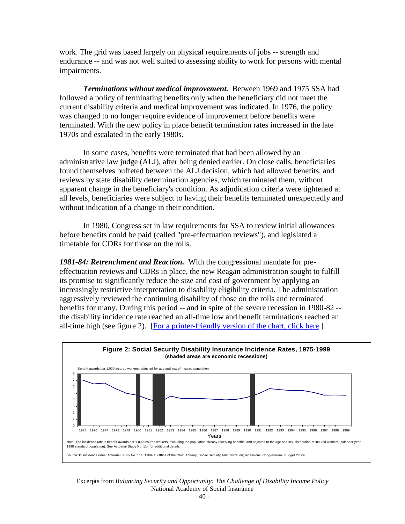work. The grid was based largely on physical requirements of jobs -- strength and endurance -- and was not well suited to assessing ability to work for persons with mental impairments.

*Terminations without medical improvement.* Between 1969 and 1975 SSA had followed a policy of terminating benefits only when the beneficiary did not meet the current disability criteria and medical improvement was indicated. In 1976, the policy was changed to no longer require evidence of improvement before benefits were terminated. With the new policy in place benefit termination rates increased in the late 1970s and escalated in the early 1980s.

In some cases, benefits were terminated that had been allowed by an administrative law judge (ALJ), after being denied earlier. On close calls, beneficiaries found themselves buffeted between the ALJ decision, which had allowed benefits, and reviews by state disability determination agencies, which terminated them, without apparent change in the beneficiary's condition. As adjudication criteria were tightened at all levels, beneficiaries were subject to having their benefits terminated unexpectedly and without indication of a change in their condition.

In 1980, Congress set in law requirements for SSA to review initial allowances before benefits could be paid (called "pre-effectuation reviews"), and legislated a timetable for CDRs for those on the rolls.

*1981-84: Retrenchment and Reaction.* With the congressional mandate for preeffectuation reviews and CDRs in place, the new Reagan administration sought to fulfill its promise to significantly reduce the size and cost of government by applying an increasingly restrictive interpretation to disability eligibility criteria. The administration aggressively reviewed the continuing disability of those on the rolls and terminated benefits for many. During this period -- and in spite of the severe recession in 1980-82 - the disability incidence rate reached an all-time low and benefit terminations reached an all-time high (see figure 2). [\[For a printer-friendly version of the chart, click here.](http://www.nasi.org/usr_doc/Disability Income Policy in 2001 Figure 2%2Exls)]



Excerpts from *Balancing Security and Opportunity: The Challenge of Disability Income Policy*  National Academy of Social Insurance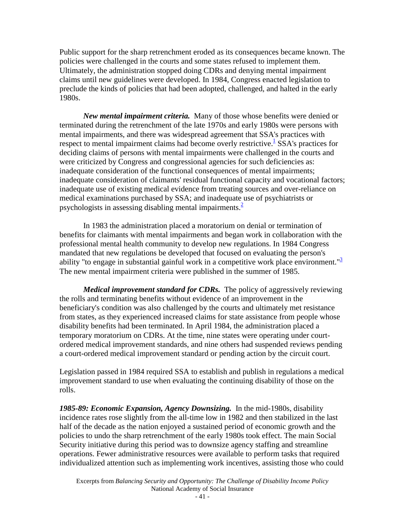Public support for the sharp retrenchment eroded as its consequences became known. The policies were challenged in the courts and some states refused to implement them. Ultimately, the administration stopped doing CDRs and denying mental impairment claims until new guidelines were developed. In 1984, Congress enacted legislation to preclude the kinds of policies that had been adopted, challenged, and halted in the early 1980s.

*New mental impairment criteria.* Many of those whose benefits were denied or terminated during the retrenchment of the late 1970s and early 1980s were persons with mental impairments, and there was widespread agreement that SSA's practices with respect to mental impairment claims had become overly restrictive. $\frac{1}{1}$  SSA's practices for deciding claims of persons with mental impairments were challenged in the courts and were criticized by Congress and congressional agencies for such deficiencies as: inadequate consideration of the functional consequences of mental impairments; inadequate consideration of claimants' residual functional capacity and vocational factors; inadequate use of existing medical evidence from treating sources and over-reliance on medical examinations purchased by SSA; and inadequate use of psychiatrists or psychologists in assessing disabling mental impairments. $\frac{2}{3}$  $\frac{2}{3}$  $\frac{2}{3}$ 

In 1983 the administration placed a moratorium on denial or termination of benefits for claimants with mental impairments and began work in collaboration with the professional mental health community to develop new regulations. In 1984 Congress mandated that new regulations be developed that focused on evaluating the person's ability "to engage in substantial gainful work in a competitive work place environment." $\frac{3}{2}$ The new mental impairment criteria were published in the summer of 1985.

*Medical improvement standard for CDRs.* The policy of aggressively reviewing the rolls and terminating benefits without evidence of an improvement in the beneficiary's condition was also challenged by the courts and ultimately met resistance from states, as they experienced increased claims for state assistance from people whose disability benefits had been terminated. In April 1984, the administration placed a temporary moratorium on CDRs. At the time, nine states were operating under courtordered medical improvement standards, and nine others had suspended reviews pending a court-ordered medical improvement standard or pending action by the circuit court.

Legislation passed in 1984 required SSA to establish and publish in regulations a medical improvement standard to use when evaluating the continuing disability of those on the rolls.

*1985-89: Economic Expansion, Agency Downsizing.* In the mid-1980s, disability incidence rates rose slightly from the all-time low in 1982 and then stabilized in the last half of the decade as the nation enjoyed a sustained period of economic growth and the policies to undo the sharp retrenchment of the early 1980s took effect. The main Social Security initiative during this period was to downsize agency staffing and streamline operations. Fewer administrative resources were available to perform tasks that required individualized attention such as implementing work incentives, assisting those who could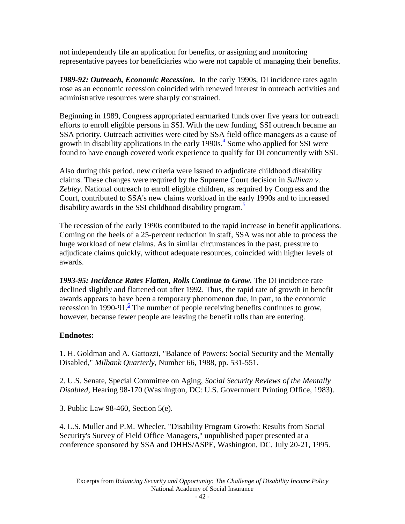<span id="page-41-0"></span>not independently file an application for benefits, or assigning and monitoring representative payees for beneficiaries who were not capable of managing their benefits.

*1989-92: Outreach, Economic Recession.* In the early 1990s, DI incidence rates again rose as an economic recession coincided with renewed interest in outreach activities and administrative resources were sharply constrained.

Beginning in 1989, Congress appropriated earmarked funds over five years for outreach efforts to enroll eligible persons in SSI. With the new funding, SSI outreach became an SSA priority. Outreach activities were cited by SSA field office managers as a cause of growth in disability applications in the early  $1990s<sup>4</sup>$  Some who applied for SSI were found to have enough covered work experience to qualify for DI concurrently with SSI.

Also during this period, new criteria were issued to adjudicate childhood disability claims. These changes were required by the Supreme Court decision in *Sullivan v. Zebley*. National outreach to enroll eligible children, as required by Congress and the Court, contributed to SSA's new claims workload in the early 1990s and to increased disability awards in the SSI childhood disability program. $\frac{5}{5}$ 

The recession of the early 1990s contributed to the rapid increase in benefit applications. Coming on the heels of a 25-percent reduction in staff, SSA was not able to process the huge workload of new claims. As in similar circumstances in the past, pressure to adjudicate claims quickly, without adequate resources, coincided with higher levels of awards.

*1993-95: Incidence Rates Flatten, Rolls Continue to Grow.* The DI incidence rate declined slightly and flattened out after 1992. Thus, the rapid rate of growth in benefit awards appears to have been a temporary phenomenon due, in part, to the economic recession in 1990-91. $\frac{6}{5}$  The number of people receiving benefits continues to grow, however, because fewer people are leaving the benefit rolls than are entering.

# **Endnotes:**

1. H. Goldman and A. Gattozzi, "Balance of Powers: Social Security and the Mentally Disabled," *Milbank Quarterly*, Number 66, 1988, pp. 531-551.

2. U.S. Senate, Special Committee on Aging, *Social Security Reviews of the Mentally Disabled*, Hearing 98-170 (Washington, DC: U.S. Government Printing Office, 1983).

3. Public Law 98-460, Section 5(e).

4. L.S. Muller and P.M. Wheeler, "Disability Program Growth: Results from Social Security's Survey of Field Office Managers," unpublished paper presented at a conference sponsored by SSA and DHHS/ASPE, Washington, DC, July 20-21, 1995.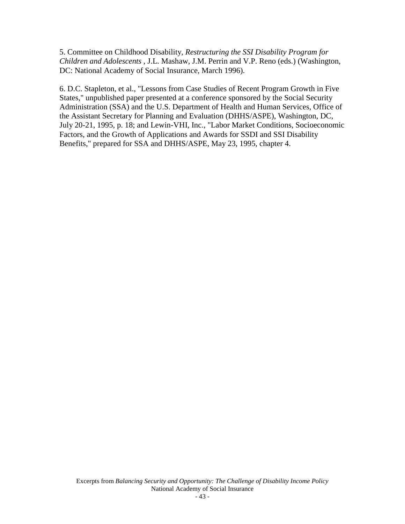<span id="page-42-0"></span>5. Committee on Childhood Disability, *Restructuring the SSI Disability Program for Children and Adolescents* , J.L. Mashaw, J.M. Perrin and V.P. Reno (eds.) (Washington, DC: National Academy of Social Insurance, March 1996).

6. D.C. Stapleton, et al., "Lessons from Case Studies of Recent Program Growth in Five States," unpublished paper presented at a conference sponsored by the Social Security Administration (SSA) and the U.S. Department of Health and Human Services, Office of the Assistant Secretary for Planning and Evaluation (DHHS/ASPE), Washington, DC, July 20-21, 1995, p. 18; and Lewin-VHI, Inc., "Labor Market Conditions, Socioeconomic Factors, and the Growth of Applications and Awards for SSDI and SSI Disability Benefits," prepared for SSA and DHHS/ASPE, May 23, 1995, chapter 4.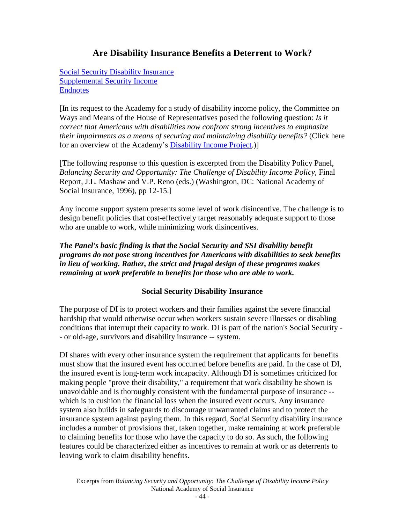# **Are Disability Insurance Benefits a Deterrent to Work?**

<span id="page-43-0"></span>Social Security Disability Insurance [Supplemental Security Income](#page-45-0) **[Endnotes](#page-46-0)** 

[In its request to the Academy for a study of disability income policy, the Committee on Ways and Means of the House of Representatives posed the following question: *Is it correct that Americans with disabilities now confront strong incentives to emphasize their impairments as a means of securing and maintaining disability benefits?* (Click here for an overview of the Academy'[s Disability Income Project.](http://www.nasi.org/info-url_nocat2718/info-url_nocat_show.htm?doc_id=57145))]

[The following response to this question is excerpted from the Disability Policy Panel, *Balancing Security and Opportunity: The Challenge of Disability Income Policy,* Final Report, J.L. Mashaw and V.P. Reno (eds.) (Washington, DC: National Academy of Social Insurance, 1996), pp 12-15.]

Any income support system presents some level of work disincentive. The challenge is to design benefit policies that cost-effectively target reasonably adequate support to those who are unable to work, while minimizing work disincentives.

*The Panel's basic finding is that the Social Security and SSI disability benefit programs do not pose strong incentives for Americans with disabilities to seek benefits in lieu of working. Rather, the strict and frugal design of these programs makes remaining at work preferable to benefits for those who are able to work.* 

## **Social Security Disability Insurance**

The purpose of DI is to protect workers and their families against the severe financial hardship that would otherwise occur when workers sustain severe illnesses or disabling conditions that interrupt their capacity to work. DI is part of the nation's Social Security - - or old-age, survivors and disability insurance -- system.

DI shares with every other insurance system the requirement that applicants for benefits must show that the insured event has occurred before benefits are paid. In the case of DI, the insured event is long-term work incapacity. Although DI is sometimes criticized for making people "prove their disability," a requirement that work disability be shown is unavoidable and is thoroughly consistent with the fundamental purpose of insurance - which is to cushion the financial loss when the insured event occurs. Any insurance system also builds in safeguards to discourage unwarranted claims and to protect the insurance system against paying them. In this regard, Social Security disability insurance includes a number of provisions that, taken together, make remaining at work preferable to claiming benefits for those who have the capacity to do so. As such, the following features could be characterized either as incentives to remain at work or as deterrents to leaving work to claim disability benefits.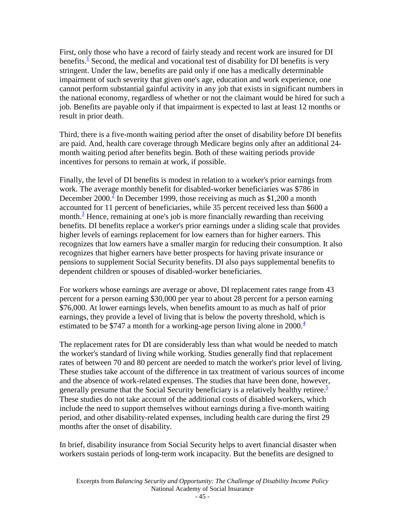First, only those who have a record of fairly steady and recent work are insured for DI benefits.<sup> $1$ </sup> Second, the medical and vocational test of disability for DI benefits is very stringent. Under the law, benefits are paid only if one has a medically determinable impairment of such severity that given one's age, education and work experience, one cannot perform substantial gainful activity in any job that exists in significant numbers in the national economy, regardless of whether or not the claimant would be hired for such a job. Benefits are payable only if that impairment is expected to last at least 12 months or result in prior death.

Third, there is a five-month waiting period after the onset of disability before DI benefits are paid. And, health care coverage through Medicare begins only after an additional 24 month waiting period after benefits begin. Both of these waiting periods provide incentives for persons to remain at work, if possible.

Finally, the level of DI benefits is modest in relation to a worker's prior earnings from work. The average monthly benefit for disabled-worker beneficiaries was \$786 in December 2000.<sup>2</sup> In December 1999, those receiving as much as \$1,200 a month accounted for 11 percent of beneficiaries, while 35 percent received less than \$600 a month. $3$  [H](#page-46-0)ence, remaining at one's job is more financially rewarding than receiving benefits. DI benefits replace a worker's prior earnings under a sliding scale that provides higher levels of earnings replacement for low earners than for higher earners. This recognizes that low earners have a smaller margin for reducing their consumption. It also recognizes that higher earners have better prospects for having private insurance or pensions to supplement Social Security benefits. DI also pays supplemental benefits to dependent children or spouses of disabled-worker beneficiaries.

For workers whose earnings are average or above, DI replacement rates range from 43 percent for a person earning \$30,000 per year to about 28 percent for a person earning \$76,000. At lower earnings levels, when benefits amount to as much as half of prior earnings, they provide a level of living that is below the poverty threshold, [whi](#page-46-0)ch is estimated to be \$747 a month for a working-age person living alone in 2000. $\frac{4}{3}$ 

The replacement rates for DI are considerably less than what would be needed to match the worker's standard of living while working. Studies generally find that replacement rates of between 70 and 80 percent are needed to match the worker's prior level of living. These studies take account of the difference in tax treatment of various sources of income and the absence of work-related expenses. The studies that have been done, however, generally presume that the Social Security beneficiary is a relatively healthy retiree. $\frac{5}{3}$ These studies do not take account of the additional costs of disabled workers, which include the need to support themselves without earnings during a five-month waiting period, and other disability-related expenses, including health care during the first 29 months after the onset of disability.

In brief, disability insurance from Social Security helps to avert financial disaster when workers sustain periods of long-term work incapacity. But the benefits are designed to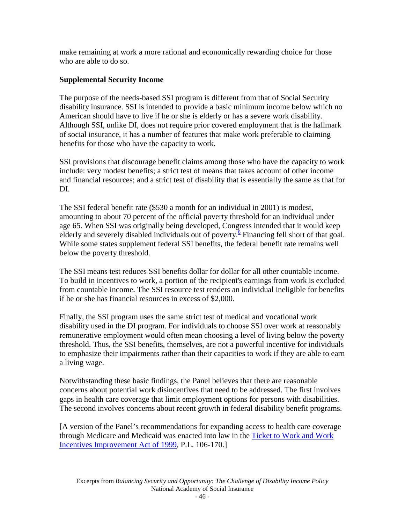<span id="page-45-0"></span>make remaining at work a more rational and economically rewarding choice for those who are able to do so.

# **Supplemental Security Income**

The purpose of the needs-based SSI program is different from that of Social Security disability insurance. SSI is intended to provide a basic minimum income below which no American should have to live if he or she is elderly or has a severe work disability. Although SSI, unlike DI, does not require prior covered employment that is the hallmark of social insurance, it has a number of features that make work preferable to claiming benefits for those who have the capacity to work.

SSI provisions that discourage benefit claims among those who have the capacity to work include: very modest benefits; a strict test of means that takes account of other income and financial resources; and a strict test of disability that is essentially the same as that for DI.

The SSI federal benefit rate (\$530 a month for an individual in 2001) is modest, amounting to about 70 percent of the official poverty threshold for an individual under age 65. When SSI was originally being developed, Congress intended that it would keep elderly and severely disabled individuals out of poverty.<sup>6</sup> Financing fell short of that goal. While some states supplement federal SSI benefits, the federal benefit rate remains well below the poverty threshold.

The SSI means test reduces SSI benefits dollar for dollar for all other countable income. To build in incentives to work, a portion of the recipient's earnings from work is excluded from countable income. The SSI resource test renders an individual ineligible for benefits if he or she has financial resources in excess of \$2,000.

Finally, the SSI program uses the same strict test of medical and vocational work disability used in the DI program. For individuals to choose SSI over work at reasonably remunerative employment would often mean choosing a level of living below the poverty threshold. Thus, the SSI benefits, themselves, are not a powerful incentive for individuals to emphasize their impairments rather than their capacities to work if they are able to earn a living wage.

Notwithstanding these basic findings, the Panel believes that there are reasonable concerns about potential work disincentives that need to be addressed. The first involves gaps in health care coverage that limit employment options for persons with disabilities. The second involves concerns about recent growth in federal disability benefit programs.

[A version of the Panel's recommendations for expanding access to health care coverage through Medicare and Medicaid was enacted into law in the [Ticket to Work and Work](http://www.ssa.gov/regulations/rin0960_af11.htm)  [Incentives Improvement Act of 1999,](http://www.ssa.gov/regulations/rin0960_af11.htm) P.L. 106-170.]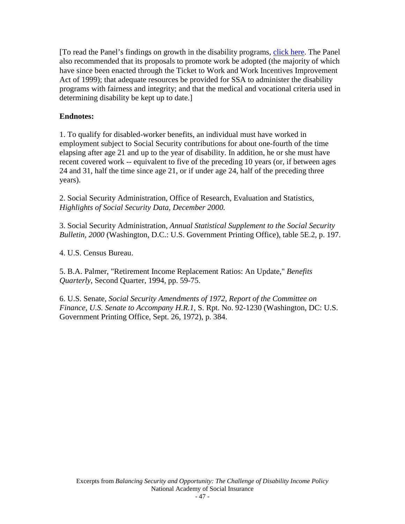<span id="page-46-0"></span>[To read the Panel's findings on growth in the disability programs[, click here.](#page-34-0) The Panel also recommended that its proposals to promote work be adopted (the majority of which have since been enacted through the Ticket to Work and Work Incentives Improvement Act of 1999); that adequate resources be provided for SSA to administer the disability programs with fairness and integrity; and that the medical and vocational criteria used in determining disability be kept up to date.]

# **Endnotes:**

1. To qualify for disabled-worker benefits, an individual must have worked in employment subject to Social Security contributions for about one-fourth of the time elapsing after age 21 and up to the year of disability. In addition, he or she must have recent covered work -- equivalent to five of the preceding 10 years (or, if between ages 24 and 31, half the time since age 21, or if under age 24, half of the preceding three years).

2. Social Security Administration, Office of Research, Evaluation and Statistics, *Highlights of Social Security Data, December 2000.* 

3. Social Security Administration, *Annual Statistical Supplement to the Social Security Bulletin, 2000* (Washington, D.C.: U.S. Government Printing Office), table 5E.2, p. 197.

4. U.S. Census Bureau.

5. B.A. Palmer, "Retirement Income Replacement Ratios: An Update," *Benefits Quarterly*, Second Quarter, 1994, pp. 59-75.

6. U.S. Senate, *Social Security Amendments of 1972, Report of the Committee on Finance, U.S. Senate to Accompany H.R.1*, S. Rpt. No. 92-1230 (Washington, DC: U.S. Government Printing Office, Sept. 26, 1972), p. 384.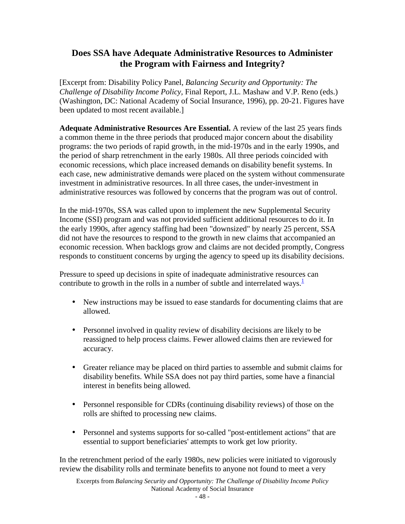# <span id="page-47-0"></span>**Does SSA have Adequate Administrative Resources to Administer the Program with Fairness and Integrity?**

[Excerpt from: Disability Policy Panel, *Balancing Security and Opportunity: The Challenge of Disability Income Policy,* Final Report, J.L. Mashaw and V.P. Reno (eds.) (Washington, DC: National Academy of Social Insurance, 1996), pp. 20-21. Figures have been updated to most recent available.]

**Adequate Administrative Resources Are Essential.** A review of the last 25 years finds a common theme in the three periods that produced major concern about the disability programs: the two periods of rapid growth, in the mid-1970s and in the early 1990s, and the period of sharp retrenchment in the early 1980s. All three periods coincided with economic recessions, which place increased demands on disability benefit systems. In each case, new administrative demands were placed on the system without commensurate investment in administrative resources. In all three cases, the under-investment in administrative resources was followed by concerns that the program was out of control.

In the mid-1970s, SSA was called upon to implement the new Supplemental Security Income (SSI) program and was not provided sufficient additional resources to do it. In the early 1990s, after agency staffing had been "downsized" by nearly 25 percent, SSA did not have the resources to respond to the growth in new claims that accompanied an economic recession. When backlogs grow and claims are not decided promptly, Congress responds to constituent concerns by urging the agency to speed up its disability decisions.

Pressure to speed up decisions in spite of inadequate administrative resour[ces c](#page-48-0)an contribute to growth in the rolls in a number of subtle and interrelated ways.<sup>1</sup>

- New instructions may be issued to ease standards for documenting claims that are allowed.
- Personnel involved in quality review of disability decisions are likely to be reassigned to help process claims. Fewer allowed claims then are reviewed for accuracy.
- Greater reliance may be placed on third parties to assemble and submit claims for disability benefits. While SSA does not pay third parties, some have a financial interest in benefits being allowed.
- Personnel responsible for CDRs (continuing disability reviews) of those on the rolls are shifted to processing new claims.
- Personnel and systems supports for so-called "post-entitlement actions" that are essential to support beneficiaries' attempts to work get low priority.

In the retrenchment period of the early 1980s, new policies were initiated to vigorously review the disability rolls and terminate benefits to anyone not found to meet a very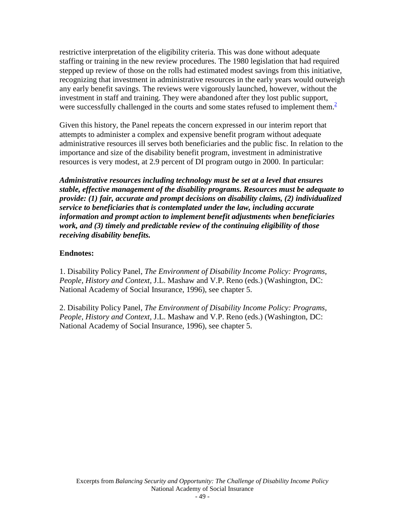<span id="page-48-0"></span>restrictive interpretation of the eligibility criteria. This was done without adequate staffing or training in the new review procedures. The 1980 legislation that had required stepped up review of those on the rolls had estimated modest savings from this initiative, recognizing that investment in administrative resources in the early years would outweigh any early benefit savings. The reviews were vigorously launched, however, without the investment in staff and training. They were abandoned after they lost public support, were successfully challenged in the courts and some states refused to implement them.<sup>2</sup>

Given this history, the Panel repeats the concern expressed in our interim report that attempts to administer a complex and expensive benefit program without adequate administrative resources ill serves both beneficiaries and the public fisc. In relation to the importance and size of the disability benefit program, investment in administrative resources is very modest, at 2.9 percent of DI program outgo in 2000. In particular:

*Administrative resources including technology must be set at a level that ensures stable, effective management of the disability programs. Resources must be adequate to provide: (1) fair, accurate and prompt decisions on disability claims, (2) individualized service to beneficiaries that is contemplated under the law, including accurate information and prompt action to implement benefit adjustments when beneficiaries work, and (3) timely and predictable review of the continuing eligibility of those receiving disability benefits.*

## **Endnotes:**

1. Disability Policy Panel, *The Environment of Disability Income Policy: Programs, People, History and Context,* J.L. Mashaw and V.P. Reno (eds.) (Washington, DC: National Academy of Social Insurance, 1996), see chapter 5.

2. Disability Policy Panel, *The Environment of Disability Income Policy: Programs, People, History and Context,* J.L. Mashaw and V.P. Reno (eds.) (Washington, DC: National Academy of Social Insurance, 1996), see chapter 5.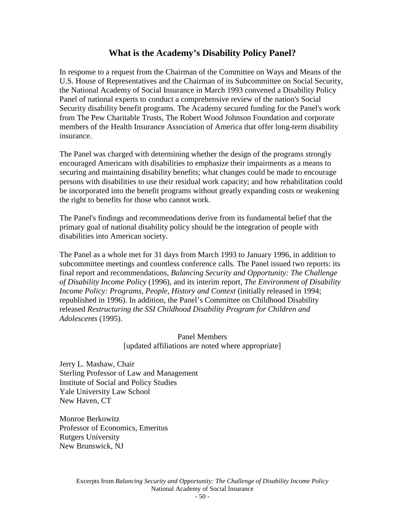# **What is the Academy's Disability Policy Panel?**

<span id="page-49-0"></span>In response to a request from the Chairman of the Committee on Ways and Means of the U.S. House of Representatives and the Chairman of its Subcommittee on Social Security, the National Academy of Social Insurance in March 1993 convened a Disability Policy Panel of national experts to conduct a comprehensive review of the nation's Social Security disability benefit programs. The Academy secured funding for the Panel's work from The Pew Charitable Trusts, The Robert Wood Johnson Foundation and corporate members of the Health Insurance Association of America that offer long-term disability insurance.

The Panel was charged with determining whether the design of the programs strongly encouraged Americans with disabilities to emphasize their impairments as a means to securing and maintaining disability benefits; what changes could be made to encourage persons with disabilities to use their residual work capacity; and how rehabilitation could be incorporated into the benefit programs without greatly expanding costs or weakening the right to benefits for those who cannot work.

The Panel's findings and recommendations derive from its fundamental belief that the primary goal of national disability policy should be the integration of people with disabilities into American society.

The Panel as a whole met for 31 days from March 1993 to January 1996, in addition to subcommittee meetings and countless conference calls. The Panel issued two reports: its final report and recommendations, *Balancing Security and Opportunity: The Challenge of Disability Income Policy* (1996), and its interim report, *The Environment of Disability Income Policy: Programs, People, History and Context* (initially released in 1994; republished in 1996). In addition, the Panel's Committee on Childhood Disability released *Restructuring the SSI Childhood Disability Program for Children and Adolescents* (1995).

### Panel Members [updated affiliations are noted where appropriate]

Jerry L. Mashaw, Chair Sterling Professor of Law and Management Institute of Social and Policy Studies Yale University Law School New Haven, CT

Monroe Berkowitz Professor of Economics, Emeritus Rutgers University New Brunswick, NJ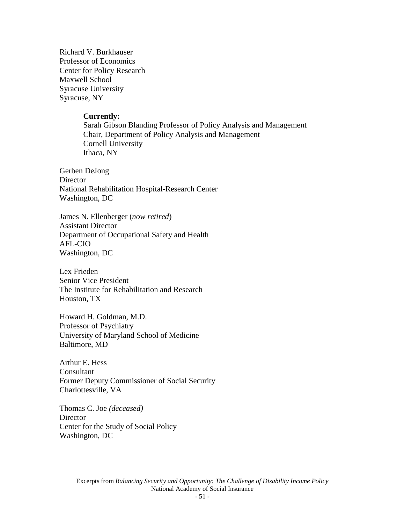Richard V. Burkhauser Professor of Economics Center for Policy Research Maxwell School Syracuse University Syracuse, NY

#### **Currently:**

Sarah Gibson Blanding Professor of Policy Analysis and Management Chair, Department of Policy Analysis and Management Cornell University Ithaca, NY

Gerben DeJong **Director** National Rehabilitation Hospital-Research Center Washington, DC

James N. Ellenberger (*now retired*) Assistant Director Department of Occupational Safety and Health AFL-CIO Washington, DC

Lex Frieden Senior Vice President The Institute for Rehabilitation and Research Houston, TX

Howard H. Goldman, M.D. Professor of Psychiatry University of Maryland School of Medicine Baltimore, MD

Arthur E. Hess Consultant Former Deputy Commissioner of Social Security Charlottesville, VA

Thomas C. Joe *(deceased)*  **Director** Center for the Study of Social Policy Washington, DC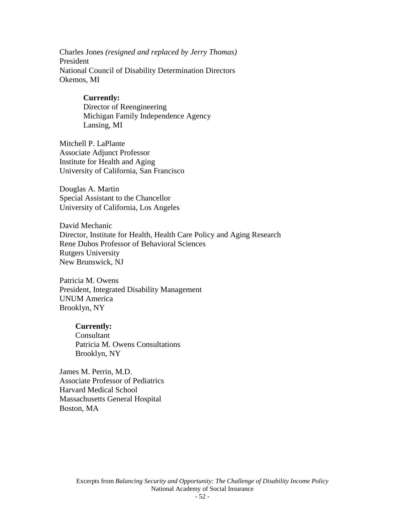Charles Jones *(resigned and replaced by Jerry Thomas)*  President National Council of Disability Determination Directors Okemos, MI

#### **Currently:**

 Director of Reengineering Michigan Family Independence Agency Lansing, MI

Mitchell P. LaPlante Associate Adjunct Professor Institute for Health and Aging University of California, San Francisco

Douglas A. Martin Special Assistant to the Chancellor University of California, Los Angeles

David Mechanic Director, Institute for Health, Health Care Policy and Aging Research Rene Dubos Professor of Behavioral Sciences Rutgers University New Brunswick, NJ

Patricia M. Owens President, Integrated Disability Management UNUM America Brooklyn, NY

#### **Currently:**

Consultant Patricia M. Owens Consultations Brooklyn, NY

James M. Perrin, M.D. Associate Professor of Pediatrics Harvard Medical School Massachusetts General Hospital Boston, MA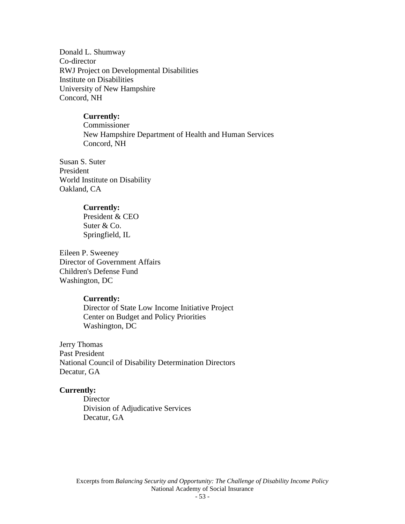Donald L. Shumway Co-director RWJ Project on Developmental Disabilities Institute on Disabilities University of New Hampshire Concord, NH

#### **Currently:**

 Commissioner New Hampshire Department of Health and Human Services Concord, NH

Susan S. Suter President World Institute on Disability Oakland, CA

#### **Currently:**

 President & CEO Suter & Co. Springfield, IL

Eileen P. Sweeney Director of Government Affairs Children's Defense Fund Washington, DC

#### **Currently:**

 Director of State Low Income Initiative Project Center on Budget and Policy Priorities Washington, DC

Jerry Thomas Past President National Council of Disability Determination Directors Decatur, GA

#### **Currently:**

 Director Division of Adjudicative Services Decatur, GA